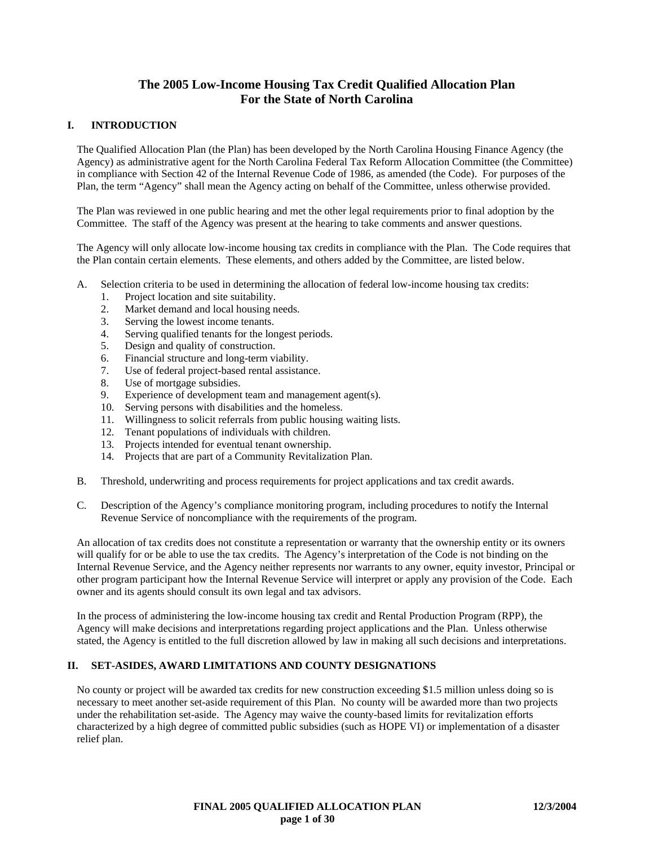# **The 2005 Low-Income Housing Tax Credit Qualified Allocation Plan For the State of North Carolina**

# **I. INTRODUCTION**

The Qualified Allocation Plan (the Plan) has been developed by the North Carolina Housing Finance Agency (the Agency) as administrative agent for the North Carolina Federal Tax Reform Allocation Committee (the Committee) in compliance with Section 42 of the Internal Revenue Code of 1986, as amended (the Code). For purposes of the Plan, the term "Agency" shall mean the Agency acting on behalf of the Committee, unless otherwise provided.

The Plan was reviewed in one public hearing and met the other legal requirements prior to final adoption by the Committee. The staff of the Agency was present at the hearing to take comments and answer questions.

The Agency will only allocate low-income housing tax credits in compliance with the Plan. The Code requires that the Plan contain certain elements. These elements, and others added by the Committee, are listed below.

- A. Selection criteria to be used in determining the allocation of federal low-income housing tax credits:
	- 1. Project location and site suitability.
	- 2. Market demand and local housing needs.
	-
	- 3. Serving the lowest income tenants.<br>4. Serving qualified tenants for the los Serving qualified tenants for the longest periods.
	- 5. Design and quality of construction.
	- 6. Financial structure and long-term viability.
	- 7. Use of federal project-based rental assistance.<br>8. Use of mortgage subsidies.
	- Use of mortgage subsidies.
	- 9. Experience of development team and management agent(s).
	- 10. Serving persons with disabilities and the homeless.
	- 11. Willingness to solicit referrals from public housing waiting lists.
	- 12. Tenant populations of individuals with children.
	- 13. Projects intended for eventual tenant ownership.
	- 14. Projects that are part of a Community Revitalization Plan.
- B. Threshold, underwriting and process requirements for project applications and tax credit awards.
- C. Description of the Agency's compliance monitoring program, including procedures to notify the Internal Revenue Service of noncompliance with the requirements of the program.

An allocation of tax credits does not constitute a representation or warranty that the ownership entity or its owners will qualify for or be able to use the tax credits. The Agency's interpretation of the Code is not binding on the Internal Revenue Service, and the Agency neither represents nor warrants to any owner, equity investor, Principal or other program participant how the Internal Revenue Service will interpret or apply any provision of the Code. Each owner and its agents should consult its own legal and tax advisors.

In the process of administering the low-income housing tax credit and Rental Production Program (RPP), the Agency will make decisions and interpretations regarding project applications and the Plan. Unless otherwise stated, the Agency is entitled to the full discretion allowed by law in making all such decisions and interpretations.

# **II. SET-ASIDES, AWARD LIMITATIONS AND COUNTY DESIGNATIONS**

No county or project will be awarded tax credits for new construction exceeding \$1.5 million unless doing so is necessary to meet another set-aside requirement of this Plan. No county will be awarded more than two projects under the rehabilitation set-aside. The Agency may waive the county-based limits for revitalization efforts characterized by a high degree of committed public subsidies (such as HOPE VI) or implementation of a disaster relief plan.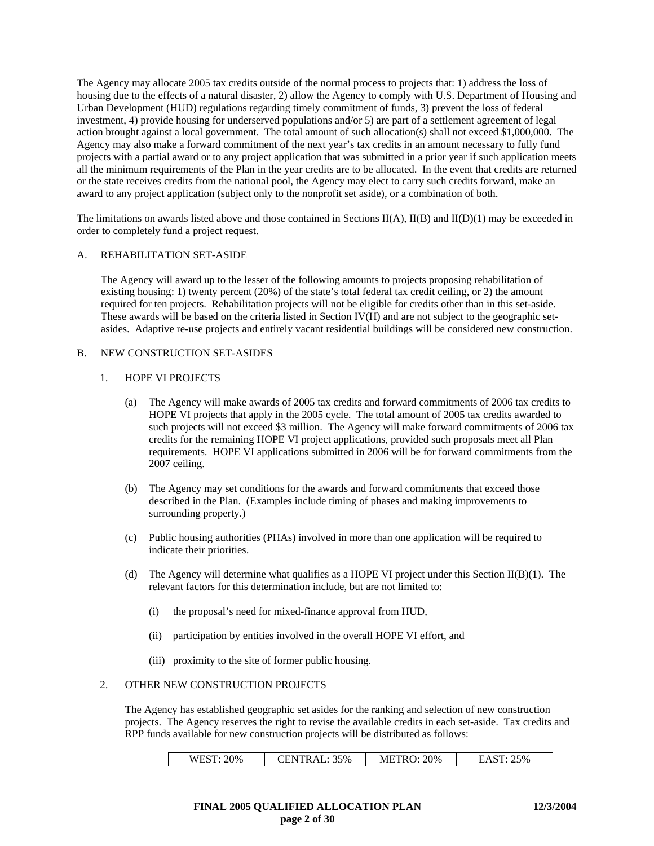The Agency may allocate 2005 tax credits outside of the normal process to projects that: 1) address the loss of housing due to the effects of a natural disaster, 2) allow the Agency to comply with U.S. Department of Housing and Urban Development (HUD) regulations regarding timely commitment of funds, 3) prevent the loss of federal investment, 4) provide housing for underserved populations and/or 5) are part of a settlement agreement of legal action brought against a local government. The total amount of such allocation(s) shall not exceed \$1,000,000. The Agency may also make a forward commitment of the next year's tax credits in an amount necessary to fully fund projects with a partial award or to any project application that was submitted in a prior year if such application meets all the minimum requirements of the Plan in the year credits are to be allocated. In the event that credits are returned or the state receives credits from the national pool, the Agency may elect to carry such credits forward, make an award to any project application (subject only to the nonprofit set aside), or a combination of both.

The limitations on awards listed above and those contained in Sections  $II(A)$ ,  $II(B)$  and  $II(D)(1)$  may be exceeded in order to completely fund a project request.

### A. REHABILITATION SET-ASIDE

The Agency will award up to the lesser of the following amounts to projects proposing rehabilitation of existing housing: 1) twenty percent (20%) of the state's total federal tax credit ceiling, or 2) the amount required for ten projects. Rehabilitation projects will not be eligible for credits other than in this set-aside. These awards will be based on the criteria listed in Section IV(H) and are not subject to the geographic setasides. Adaptive re-use projects and entirely vacant residential buildings will be considered new construction.

### B. NEW CONSTRUCTION SET-ASIDES

### 1. HOPE VI PROJECTS

- (a) The Agency will make awards of 2005 tax credits and forward commitments of 2006 tax credits to HOPE VI projects that apply in the 2005 cycle. The total amount of 2005 tax credits awarded to such projects will not exceed \$3 million. The Agency will make forward commitments of 2006 tax credits for the remaining HOPE VI project applications, provided such proposals meet all Plan requirements. HOPE VI applications submitted in 2006 will be for forward commitments from the 2007 ceiling.
- (b) The Agency may set conditions for the awards and forward commitments that exceed those described in the Plan. (Examples include timing of phases and making improvements to surrounding property.)
- (c) Public housing authorities (PHAs) involved in more than one application will be required to indicate their priorities.
- (d) The Agency will determine what qualifies as a HOPE VI project under this Section  $II(B)(1)$ . The relevant factors for this determination include, but are not limited to:
	- (i) the proposal's need for mixed-finance approval from HUD,
	- (ii) participation by entities involved in the overall HOPE VI effort, and
	- (iii) proximity to the site of former public housing.

#### 2. OTHER NEW CONSTRUCTION PROJECTS

The Agency has established geographic set asides for the ranking and selection of new construction projects. The Agency reserves the right to revise the available credits in each set-aside. Tax credits and RPP funds available for new construction projects will be distributed as follows:

| ,0%<br>WF<br>⊷ | CENTRAL: 35% | 20%<br>٠.<br>ו כו<br>111111100 | 5% |
|----------------|--------------|--------------------------------|----|
|                |              |                                |    |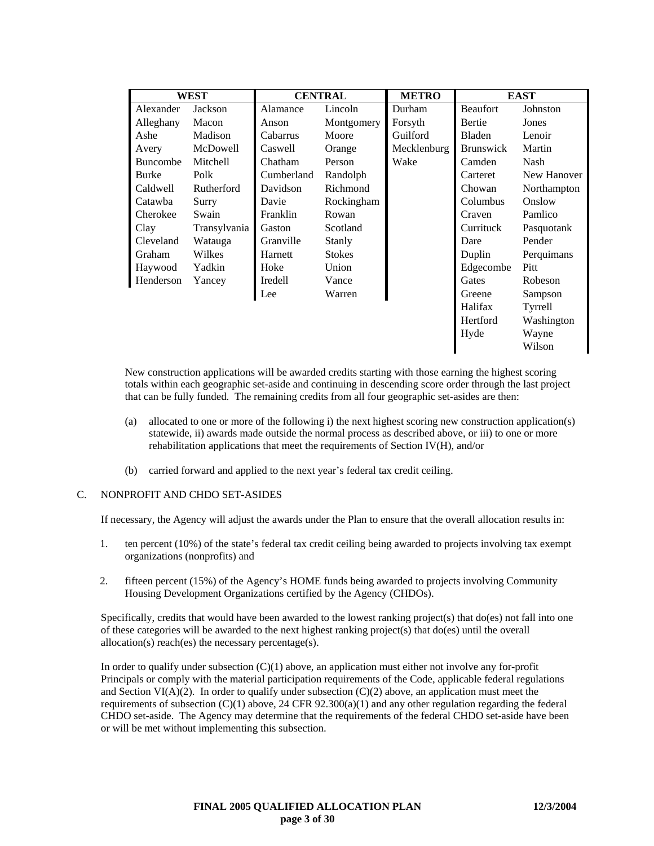| WEST            |              | <b>CENTRAL</b> |               | <b>METRO</b> |                  | <b>EAST</b> |
|-----------------|--------------|----------------|---------------|--------------|------------------|-------------|
| Alexander       | Jackson      | Alamance       | Lincoln       | Durham       | <b>Beaufort</b>  | Johnston    |
| Alleghany       | Macon        | Anson          | Montgomery    | Forsyth      | Bertie           | Jones       |
| Ashe            | Madison      | Cabarrus       | Moore         | Guilford     | <b>Bladen</b>    | Lenoir      |
| Avery           | McDowell     | Caswell        | Orange        | Mecklenburg  | <b>Brunswick</b> | Martin      |
| <b>Buncombe</b> | Mitchell     | Chatham        | Person        | Wake         | Camden           | Nash        |
| <b>Burke</b>    | Polk         | Cumberland     | Randolph      |              | Carteret         | New Hanover |
| Caldwell        | Rutherford   | Davidson       | Richmond      |              | Chowan           | Northampton |
| Catawba         | Surry        | Davie          | Rockingham    |              | Columbus         | Onslow      |
| Cherokee        | Swain        | Franklin       | Rowan         |              | Craven           | Pamlico     |
| Clay            | Transylvania | Gaston         | Scotland      |              | Currituck        | Pasquotank  |
| Cleveland       | Watauga      | Granville      | Stanly        |              | Dare             | Pender      |
| Graham          | Wilkes       | Harnett        | <b>Stokes</b> |              | Duplin           | Perquimans  |
| Haywood         | Yadkin       | Hoke           | Union         |              | Edgecombe        | <b>Pitt</b> |
| Henderson       | Yancey       | Iredell        | Vance         |              | Gates            | Robeson     |
|                 |              | Lee            | Warren        |              | Greene           | Sampson     |
|                 |              |                |               |              | Halifax          | Tyrrell     |
|                 |              |                |               |              | Hertford         | Washington  |
|                 |              |                |               |              | Hyde             | Wayne       |
|                 |              |                |               |              |                  | Wilson      |

New construction applications will be awarded credits starting with those earning the highest scoring totals within each geographic set-aside and continuing in descending score order through the last project that can be fully funded. The remaining credits from all four geographic set-asides are then:

- (a) allocated to one or more of the following i) the next highest scoring new construction application(s) statewide, ii) awards made outside the normal process as described above, or iii) to one or more rehabilitation applications that meet the requirements of Section IV(H), and/or
- (b) carried forward and applied to the next year's federal tax credit ceiling.

# C. NONPROFIT AND CHDO SET-ASIDES

If necessary, the Agency will adjust the awards under the Plan to ensure that the overall allocation results in:

- 1. ten percent (10%) of the state's federal tax credit ceiling being awarded to projects involving tax exempt organizations (nonprofits) and
- 2. fifteen percent (15%) of the Agency's HOME funds being awarded to projects involving Community Housing Development Organizations certified by the Agency (CHDOs).

Specifically, credits that would have been awarded to the lowest ranking project(s) that do(es) not fall into one of these categories will be awarded to the next highest ranking project(s) that do(es) until the overall allocation(s) reach(es) the necessary percentage(s).

In order to qualify under subsection (C)(1) above, an application must either not involve any for-profit Principals or comply with the material participation requirements of the Code, applicable federal regulations and Section VI( $A$ )(2). In order to qualify under subsection (C)(2) above, an application must meet the requirements of subsection  $(C)(1)$  above, 24 CFR 92.300(a)(1) and any other regulation regarding the federal CHDO set-aside. The Agency may determine that the requirements of the federal CHDO set-aside have been or will be met without implementing this subsection.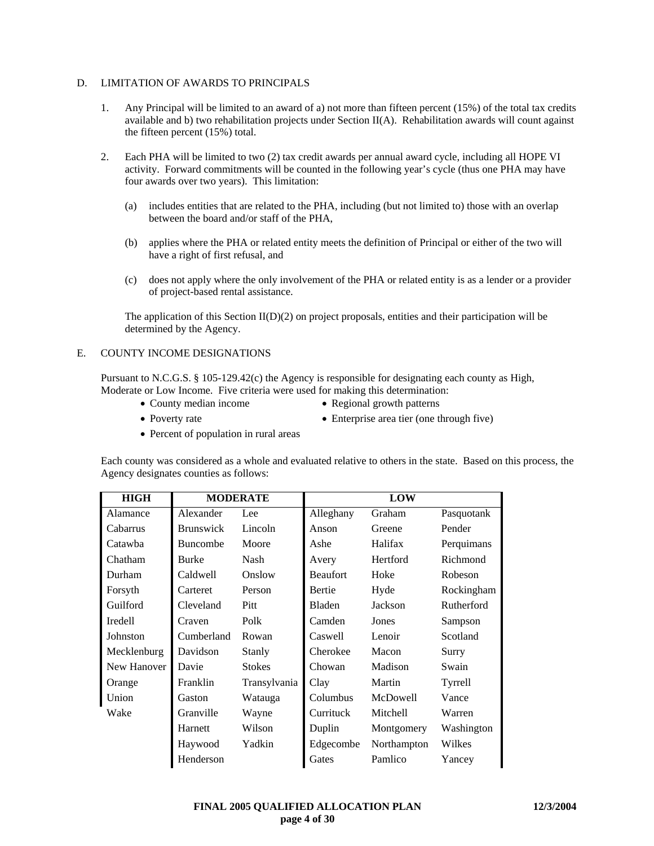# D. LIMITATION OF AWARDS TO PRINCIPALS

- 1. Any Principal will be limited to an award of a) not more than fifteen percent (15%) of the total tax credits available and b) two rehabilitation projects under Section II(A). Rehabilitation awards will count against the fifteen percent (15%) total.
- 2. Each PHA will be limited to two (2) tax credit awards per annual award cycle, including all HOPE VI activity. Forward commitments will be counted in the following year's cycle (thus one PHA may have four awards over two years). This limitation:
	- (a) includes entities that are related to the PHA, including (but not limited to) those with an overlap between the board and/or staff of the PHA,
	- (b) applies where the PHA or related entity meets the definition of Principal or either of the two will have a right of first refusal, and
	- (c) does not apply where the only involvement of the PHA or related entity is as a lender or a provider of project-based rental assistance.

The application of this Section  $II(D)(2)$  on project proposals, entities and their participation will be determined by the Agency.

### E. COUNTY INCOME DESIGNATIONS

Pursuant to N.C.G.S. § 105-129.42(c) the Agency is responsible for designating each county as High, Moderate or Low Income. Five criteria were used for making this determination:

- 
- County median income Regional growth patterns
- 
- 
- 
- Poverty rate Enterprise area tier (one through five)
- Percent of population in rural areas

Each county was considered as a whole and evaluated relative to others in the state. Based on this process, the Agency designates counties as follows:

| <b>HIGH</b>    | <b>MODERATE</b>  |               |                 | <b>LOW</b>  |            |
|----------------|------------------|---------------|-----------------|-------------|------------|
| Alamance       | Alexander        | Lee           | Alleghany       | Graham      | Pasquotank |
| Cabarrus       | <b>Brunswick</b> | Lincoln       | Anson           | Greene      | Pender     |
| Catawba        | <b>Buncombe</b>  | Moore         | Ashe            | Halifax     | Perquimans |
| Chatham        | <b>Burke</b>     | Nash          | Avery           | Hertford    | Richmond   |
| Durham         | Caldwell         | Onslow        | <b>Beaufort</b> | Hoke        | Robeson    |
| Forsyth        | Carteret         | Person        | <b>Bertie</b>   | Hyde        | Rockingham |
| Guilford       | Cleveland        | <b>Pitt</b>   | <b>Bladen</b>   | Jackson     | Rutherford |
| <b>Iredell</b> | Craven           | Polk          | Camden          | Jones       | Sampson    |
| Johnston       | Cumberland       | Rowan         | Caswell         | Lenoir      | Scotland   |
| Mecklenburg    | Davidson         | Stanly        | Cherokee        | Macon       | Surry      |
| New Hanover    | Davie            | <b>Stokes</b> | Chowan          | Madison     | Swain      |
| Orange         | Franklin         | Transylvania  | Clay            | Martin      | Tyrrell    |
| Union          | Gaston           | Watauga       | Columbus        | McDowell    | Vance      |
| Wake           | Granville        | Wayne         | Currituck       | Mitchell    | Warren     |
|                | Harnett          | Wilson        | Duplin          | Montgomery  | Washington |
|                | Haywood          | Yadkin        | Edgecombe       | Northampton | Wilkes     |
|                | Henderson        |               | Gates           | Pamlico     | Yancey     |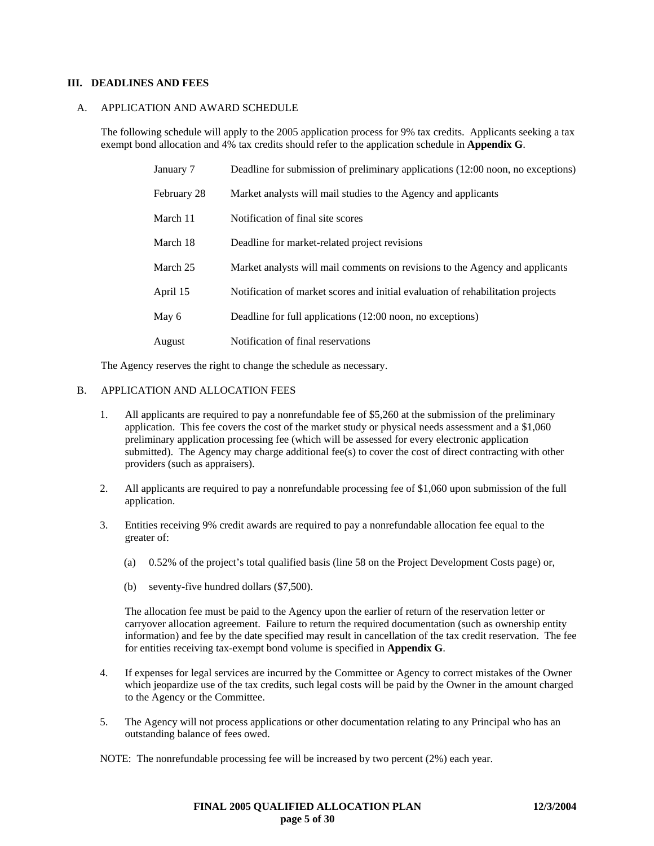### **III. DEADLINES AND FEES**

### A. APPLICATION AND AWARD SCHEDULE

The following schedule will apply to the 2005 application process for 9% tax credits. Applicants seeking a tax exempt bond allocation and 4% tax credits should refer to the application schedule in **Appendix G**.

| January 7   | Deadline for submission of preliminary applications (12:00 noon, no exceptions) |
|-------------|---------------------------------------------------------------------------------|
| February 28 | Market analysts will mail studies to the Agency and applicants                  |
| March 11    | Notification of final site scores                                               |
| March 18    | Deadline for market-related project revisions                                   |
| March 25    | Market analysts will mail comments on revisions to the Agency and applicants    |
| April 15    | Notification of market scores and initial evaluation of rehabilitation projects |
| May 6       | Deadline for full applications (12:00 noon, no exceptions)                      |
| August      | Notification of final reservations                                              |

The Agency reserves the right to change the schedule as necessary.

### B. APPLICATION AND ALLOCATION FEES

- 1. All applicants are required to pay a nonrefundable fee of \$5,260 at the submission of the preliminary application. This fee covers the cost of the market study or physical needs assessment and a \$1,060 preliminary application processing fee (which will be assessed for every electronic application submitted). The Agency may charge additional fee(s) to cover the cost of direct contracting with other providers (such as appraisers).
- 2. All applicants are required to pay a nonrefundable processing fee of \$1,060 upon submission of the full application.
- 3. Entities receiving 9% credit awards are required to pay a nonrefundable allocation fee equal to the greater of:
	- (a) 0.52% of the project's total qualified basis (line 58 on the Project Development Costs page) or,
	- (b) seventy-five hundred dollars (\$7,500).

The allocation fee must be paid to the Agency upon the earlier of return of the reservation letter or carryover allocation agreement. Failure to return the required documentation (such as ownership entity information) and fee by the date specified may result in cancellation of the tax credit reservation. The fee for entities receiving tax-exempt bond volume is specified in **Appendix G**.

- 4. If expenses for legal services are incurred by the Committee or Agency to correct mistakes of the Owner which jeopardize use of the tax credits, such legal costs will be paid by the Owner in the amount charged to the Agency or the Committee.
- 5. The Agency will not process applications or other documentation relating to any Principal who has an outstanding balance of fees owed.

NOTE: The nonrefundable processing fee will be increased by two percent (2%) each year.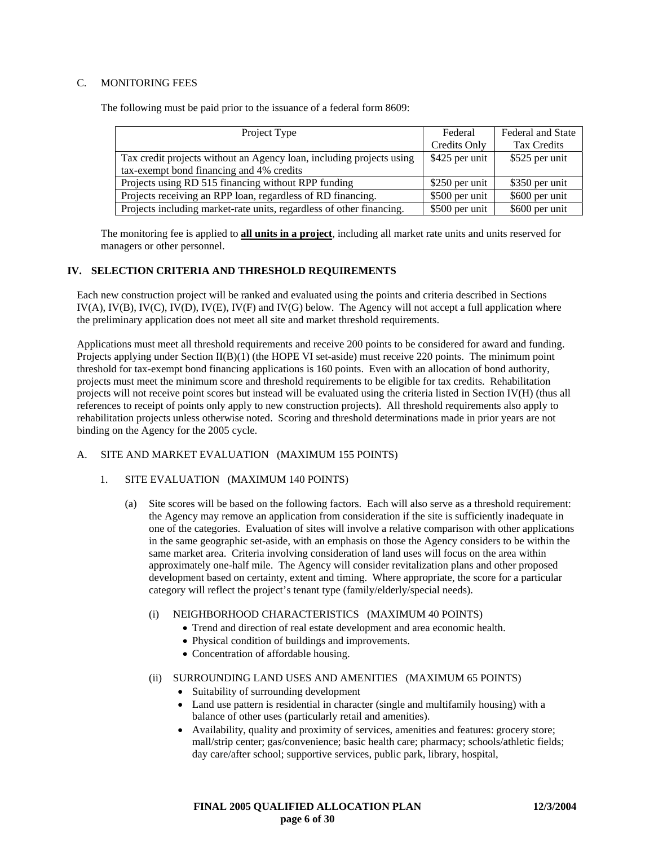# C. MONITORING FEES

The following must be paid prior to the issuance of a federal form 8609:

| Project Type                                                         | Federal         | Federal and State |
|----------------------------------------------------------------------|-----------------|-------------------|
|                                                                      | Credits Only    | Tax Credits       |
| Tax credit projects without an Agency loan, including projects using | \$425 per unit  | \$525 per unit    |
| tax-exempt bond financing and 4% credits                             |                 |                   |
| Projects using RD 515 financing without RPP funding                  | \$250 per unit  | \$350 per unit    |
| Projects receiving an RPP loan, regardless of RD financing.          | \$500 per unit  | \$600 per unit    |
| Projects including market-rate units, regardless of other financing. | $$500$ per unit | \$600 per unit    |

The monitoring fee is applied to **all units in a project**, including all market rate units and units reserved for managers or other personnel.

# **IV. SELECTION CRITERIA AND THRESHOLD REQUIREMENTS**

Each new construction project will be ranked and evaluated using the points and criteria described in Sections  $IV(A)$ ,  $IV(B)$ ,  $IV(C)$ ,  $IV(D)$ ,  $IV(E)$ ,  $IV(F)$  and  $IV(G)$  below. The Agency will not accept a full application where the preliminary application does not meet all site and market threshold requirements.

Applications must meet all threshold requirements and receive 200 points to be considered for award and funding. Projects applying under Section II(B)(1) (the HOPE VI set-aside) must receive 220 points. The minimum point threshold for tax-exempt bond financing applications is 160 points. Even with an allocation of bond authority, projects must meet the minimum score and threshold requirements to be eligible for tax credits. Rehabilitation projects will not receive point scores but instead will be evaluated using the criteria listed in Section IV(H) (thus all references to receipt of points only apply to new construction projects). All threshold requirements also apply to rehabilitation projects unless otherwise noted. Scoring and threshold determinations made in prior years are not binding on the Agency for the 2005 cycle.

#### A. SITE AND MARKET EVALUATION (MAXIMUM 155 POINTS)

#### 1. SITE EVALUATION (MAXIMUM 140 POINTS)

(a) Site scores will be based on the following factors. Each will also serve as a threshold requirement: the Agency may remove an application from consideration if the site is sufficiently inadequate in one of the categories. Evaluation of sites will involve a relative comparison with other applications in the same geographic set-aside, with an emphasis on those the Agency considers to be within the same market area. Criteria involving consideration of land uses will focus on the area within approximately one-half mile. The Agency will consider revitalization plans and other proposed development based on certainty, extent and timing. Where appropriate, the score for a particular category will reflect the project's tenant type (family/elderly/special needs).

#### (i) NEIGHBORHOOD CHARACTERISTICS (MAXIMUM 40 POINTS)

- Trend and direction of real estate development and area economic health.
- Physical condition of buildings and improvements.
- Concentration of affordable housing.

#### (ii) SURROUNDING LAND USES AND AMENITIES (MAXIMUM 65 POINTS)

- Suitability of surrounding development
- Land use pattern is residential in character (single and multifamily housing) with a balance of other uses (particularly retail and amenities).
- Availability, quality and proximity of services, amenities and features: grocery store; mall/strip center; gas/convenience; basic health care; pharmacy; schools/athletic fields; day care/after school; supportive services, public park, library, hospital,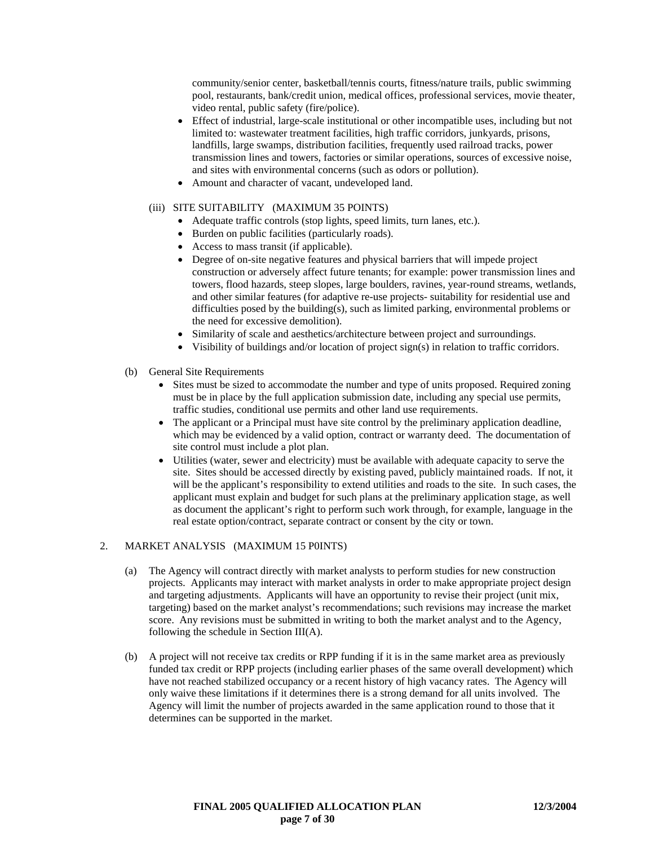community/senior center, basketball/tennis courts, fitness/nature trails, public swimming pool, restaurants, bank/credit union, medical offices, professional services, movie theater, video rental, public safety (fire/police).

- Effect of industrial, large-scale institutional or other incompatible uses, including but not limited to: wastewater treatment facilities, high traffic corridors, junkyards, prisons, landfills, large swamps, distribution facilities, frequently used railroad tracks, power transmission lines and towers, factories or similar operations, sources of excessive noise, and sites with environmental concerns (such as odors or pollution).
- Amount and character of vacant, undeveloped land.

### (iii) SITE SUITABILITY (MAXIMUM 35 POINTS)

- Adequate traffic controls (stop lights, speed limits, turn lanes, etc.).
- Burden on public facilities (particularly roads).
- Access to mass transit (if applicable).
- Degree of on-site negative features and physical barriers that will impede project construction or adversely affect future tenants; for example: power transmission lines and towers, flood hazards, steep slopes, large boulders, ravines, year-round streams, wetlands, and other similar features (for adaptive re-use projects- suitability for residential use and difficulties posed by the building(s), such as limited parking, environmental problems or the need for excessive demolition).
- Similarity of scale and aesthetics/architecture between project and surroundings.
- Visibility of buildings and/or location of project sign(s) in relation to traffic corridors.
- (b) General Site Requirements
	- Sites must be sized to accommodate the number and type of units proposed. Required zoning must be in place by the full application submission date, including any special use permits, traffic studies, conditional use permits and other land use requirements.
	- The applicant or a Principal must have site control by the preliminary application deadline, which may be evidenced by a valid option, contract or warranty deed. The documentation of site control must include a plot plan.
	- Utilities (water, sewer and electricity) must be available with adequate capacity to serve the site. Sites should be accessed directly by existing paved, publicly maintained roads. If not, it will be the applicant's responsibility to extend utilities and roads to the site. In such cases, the applicant must explain and budget for such plans at the preliminary application stage, as well as document the applicant's right to perform such work through, for example, language in the real estate option/contract, separate contract or consent by the city or town.

# 2. MARKET ANALYSIS (MAXIMUM 15 P0INTS)

- (a) The Agency will contract directly with market analysts to perform studies for new construction projects. Applicants may interact with market analysts in order to make appropriate project design and targeting adjustments. Applicants will have an opportunity to revise their project (unit mix, targeting) based on the market analyst's recommendations; such revisions may increase the market score. Any revisions must be submitted in writing to both the market analyst and to the Agency, following the schedule in Section III(A).
- (b) A project will not receive tax credits or RPP funding if it is in the same market area as previously funded tax credit or RPP projects (including earlier phases of the same overall development) which have not reached stabilized occupancy or a recent history of high vacancy rates. The Agency will only waive these limitations if it determines there is a strong demand for all units involved. The Agency will limit the number of projects awarded in the same application round to those that it determines can be supported in the market.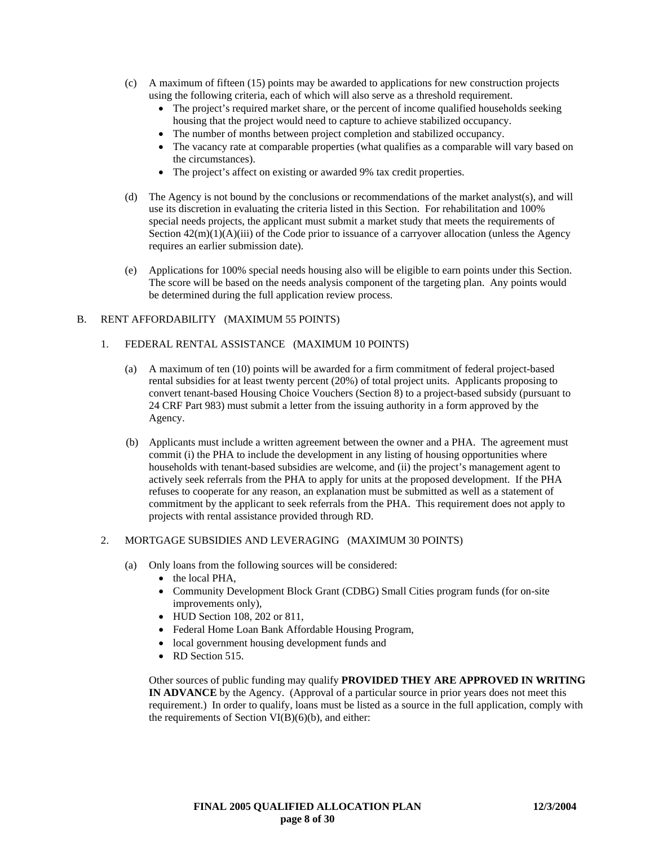- (c) A maximum of fifteen (15) points may be awarded to applications for new construction projects using the following criteria, each of which will also serve as a threshold requirement.
	- The project's required market share, or the percent of income qualified households seeking housing that the project would need to capture to achieve stabilized occupancy.
	- The number of months between project completion and stabilized occupancy.
	- The vacancy rate at comparable properties (what qualifies as a comparable will vary based on the circumstances).
	- The project's affect on existing or awarded 9% tax credit properties.
- (d) The Agency is not bound by the conclusions or recommendations of the market analyst(s), and will use its discretion in evaluating the criteria listed in this Section. For rehabilitation and 100% special needs projects, the applicant must submit a market study that meets the requirements of Section  $42(m)(1)(A)(iii)$  of the Code prior to issuance of a carryover allocation (unless the Agency requires an earlier submission date).
- (e) Applications for 100% special needs housing also will be eligible to earn points under this Section. The score will be based on the needs analysis component of the targeting plan. Any points would be determined during the full application review process.

### B. RENT AFFORDABILITY (MAXIMUM 55 POINTS)

### 1. FEDERAL RENTAL ASSISTANCE (MAXIMUM 10 POINTS)

- (a) A maximum of ten (10) points will be awarded for a firm commitment of federal project-based rental subsidies for at least twenty percent (20%) of total project units. Applicants proposing to convert tenant-based Housing Choice Vouchers (Section 8) to a project-based subsidy (pursuant to 24 CRF Part 983) must submit a letter from the issuing authority in a form approved by the Agency.
- (b) Applicants must include a written agreement between the owner and a PHA. The agreement must commit (i) the PHA to include the development in any listing of housing opportunities where households with tenant-based subsidies are welcome, and (ii) the project's management agent to actively seek referrals from the PHA to apply for units at the proposed development. If the PHA refuses to cooperate for any reason, an explanation must be submitted as well as a statement of commitment by the applicant to seek referrals from the PHA. This requirement does not apply to projects with rental assistance provided through RD.

# 2. MORTGAGE SUBSIDIES AND LEVERAGING (MAXIMUM 30 POINTS)

- (a) Only loans from the following sources will be considered:
	- the local PHA,
	- Community Development Block Grant (CDBG) Small Cities program funds (for on-site improvements only),
	- HUD Section 108, 202 or 811,
	- Federal Home Loan Bank Affordable Housing Program,
	- local government housing development funds and
	- RD Section 515.

Other sources of public funding may qualify **PROVIDED THEY ARE APPROVED IN WRITING IN ADVANCE** by the Agency. (Approval of a particular source in prior years does not meet this requirement.) In order to qualify, loans must be listed as a source in the full application, comply with the requirements of Section  $VI(B)(6)(b)$ , and either: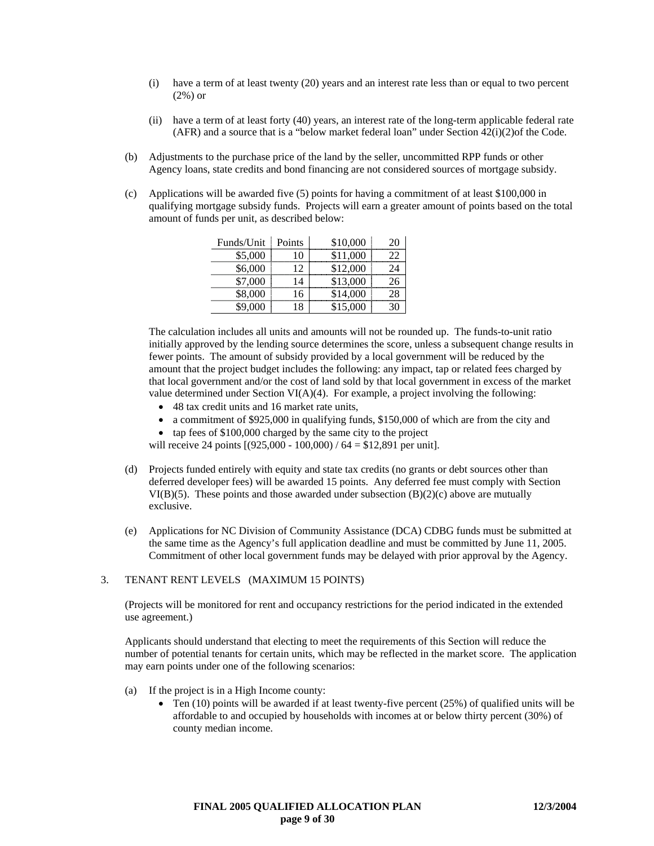- (i) have a term of at least twenty (20) years and an interest rate less than or equal to two percent (2%) or
- (ii) have a term of at least forty (40) years, an interest rate of the long-term applicable federal rate (AFR) and a source that is a "below market federal loan" under Section 42(i)(2)of the Code.
- (b) Adjustments to the purchase price of the land by the seller, uncommitted RPP funds or other Agency loans, state credits and bond financing are not considered sources of mortgage subsidy.
- (c) Applications will be awarded five (5) points for having a commitment of at least \$100,000 in qualifying mortgage subsidy funds. Projects will earn a greater amount of points based on the total amount of funds per unit, as described below:

| Funds/Unit | Points | \$10,000 |    |
|------------|--------|----------|----|
| \$5,000    | 10     | \$11,000 | 22 |
| \$6,000    | 12     | \$12,000 | 24 |
| \$7,000    | 14     | \$13,000 |    |
| \$8,000    | 16     | \$14,000 | 28 |
| \$9.000    |        | \$15,000 |    |

The calculation includes all units and amounts will not be rounded up. The funds-to-unit ratio initially approved by the lending source determines the score, unless a subsequent change results in fewer points. The amount of subsidy provided by a local government will be reduced by the amount that the project budget includes the following: any impact, tap or related fees charged by that local government and/or the cost of land sold by that local government in excess of the market value determined under Section VI(A)(4). For example, a project involving the following:

- 48 tax credit units and 16 market rate units,
- a commitment of \$925,000 in qualifying funds, \$150,000 of which are from the city and
- tap fees of \$100,000 charged by the same city to the project

will receive 24 points  $[(925,000 - 100,000) / 64 = $12,891$  per unit].

- (d) Projects funded entirely with equity and state tax credits (no grants or debt sources other than deferred developer fees) will be awarded 15 points. Any deferred fee must comply with Section VI(B)(5). These points and those awarded under subsection  $(B)(2)(c)$  above are mutually exclusive.
- (e) Applications for NC Division of Community Assistance (DCA) CDBG funds must be submitted at the same time as the Agency's full application deadline and must be committed by June 11, 2005. Commitment of other local government funds may be delayed with prior approval by the Agency.

#### 3. TENANT RENT LEVELS (MAXIMUM 15 POINTS)

(Projects will be monitored for rent and occupancy restrictions for the period indicated in the extended use agreement.)

Applicants should understand that electing to meet the requirements of this Section will reduce the number of potential tenants for certain units, which may be reflected in the market score. The application may earn points under one of the following scenarios:

- (a) If the project is in a High Income county:
	- Ten (10) points will be awarded if at least twenty-five percent (25%) of qualified units will be affordable to and occupied by households with incomes at or below thirty percent (30%) of county median income.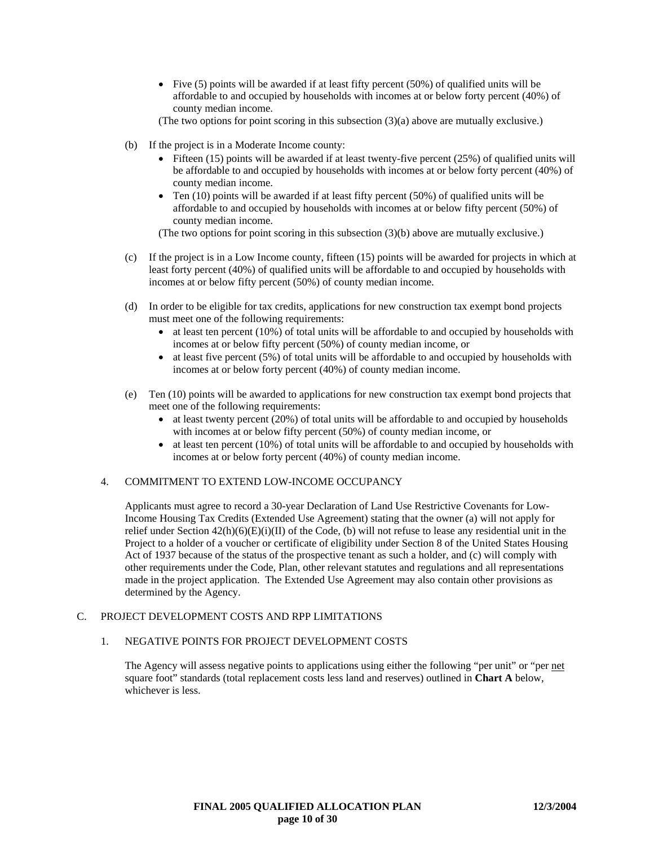- Five (5) points will be awarded if at least fifty percent (50%) of qualified units will be affordable to and occupied by households with incomes at or below forty percent (40%) of county median income.
- (The two options for point scoring in this subsection  $(3)(a)$  above are mutually exclusive.)
- (b) If the project is in a Moderate Income county:
	- Fifteen (15) points will be awarded if at least twenty-five percent (25%) of qualified units will be affordable to and occupied by households with incomes at or below forty percent (40%) of county median income.
	- Ten  $(10)$  points will be awarded if at least fifty percent  $(50%)$  of qualified units will be affordable to and occupied by households with incomes at or below fifty percent (50%) of county median income.

- (c) If the project is in a Low Income county, fifteen (15) points will be awarded for projects in which at least forty percent (40%) of qualified units will be affordable to and occupied by households with incomes at or below fifty percent (50%) of county median income.
- (d) In order to be eligible for tax credits, applications for new construction tax exempt bond projects must meet one of the following requirements:
	- at least ten percent (10%) of total units will be affordable to and occupied by households with incomes at or below fifty percent (50%) of county median income, or
	- at least five percent (5%) of total units will be affordable to and occupied by households with incomes at or below forty percent (40%) of county median income.
- (e) Ten (10) points will be awarded to applications for new construction tax exempt bond projects that meet one of the following requirements:
	- at least twenty percent (20%) of total units will be affordable to and occupied by households with incomes at or below fifty percent (50%) of county median income, or
	- at least ten percent (10%) of total units will be affordable to and occupied by households with incomes at or below forty percent (40%) of county median income.

# 4. COMMITMENT TO EXTEND LOW-INCOME OCCUPANCY

Applicants must agree to record a 30-year Declaration of Land Use Restrictive Covenants for Low-Income Housing Tax Credits (Extended Use Agreement) stating that the owner (a) will not apply for relief under Section  $42(h)(6)(E)(i)(II)$  of the Code, (b) will not refuse to lease any residential unit in the Project to a holder of a voucher or certificate of eligibility under Section 8 of the United States Housing Act of 1937 because of the status of the prospective tenant as such a holder, and (c) will comply with other requirements under the Code, Plan, other relevant statutes and regulations and all representations made in the project application. The Extended Use Agreement may also contain other provisions as determined by the Agency.

# C. PROJECT DEVELOPMENT COSTS AND RPP LIMITATIONS

# 1. NEGATIVE POINTS FOR PROJECT DEVELOPMENT COSTS

The Agency will assess negative points to applications using either the following "per unit" or "per net square foot" standards (total replacement costs less land and reserves) outlined in **Chart A** below, whichever is less.

<sup>(</sup>The two options for point scoring in this subsection (3)(b) above are mutually exclusive.)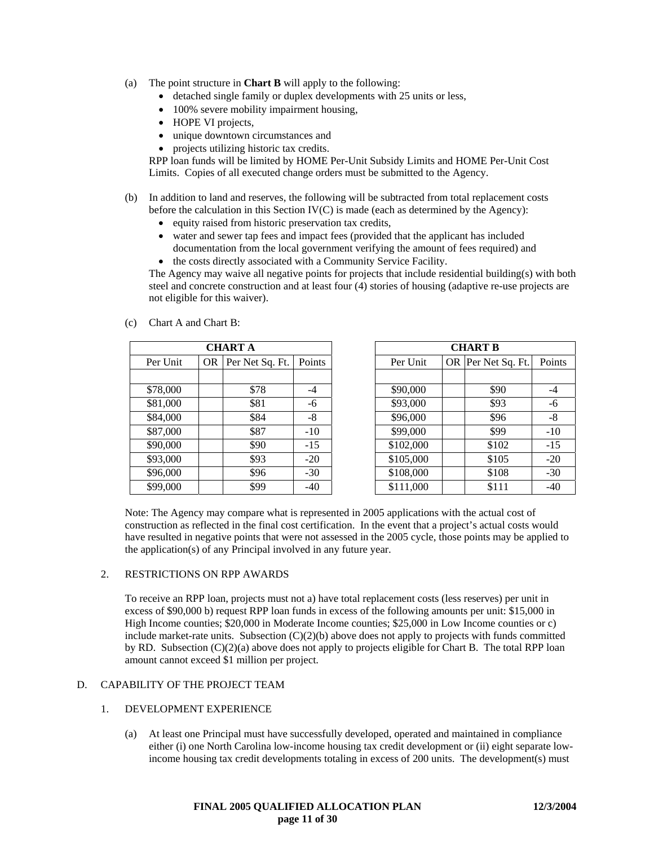- (a) The point structure in **Chart B** will apply to the following:
	- detached single family or duplex developments with 25 units or less,
	- 100% severe mobility impairment housing,
	- HOPE VI projects,
	- unique downtown circumstances and
	- projects utilizing historic tax credits.

RPP loan funds will be limited by HOME Per-Unit Subsidy Limits and HOME Per-Unit Cost Limits. Copies of all executed change orders must be submitted to the Agency.

- (b) In addition to land and reserves, the following will be subtracted from total replacement costs before the calculation in this Section IV(C) is made (each as determined by the Agency):
	- equity raised from historic preservation tax credits,
	- water and sewer tap fees and impact fees (provided that the applicant has included documentation from the local government verifying the amount of fees required) and
	- the costs directly associated with a Community Service Facility.

The Agency may waive all negative points for projects that include residential building(s) with both steel and concrete construction and at least four (4) stories of housing (adaptive re-use projects are not eligible for this waiver).

|          | <b>CHART A</b> |                 |        |  |  |
|----------|----------------|-----------------|--------|--|--|
| Per Unit | OR             | Per Net Sq. Ft. | Points |  |  |
|          |                |                 |        |  |  |
| \$78,000 |                | \$78            | -4     |  |  |
| \$81,000 |                | \$81            | -6     |  |  |
| \$84,000 |                | \$84            | -8     |  |  |
| \$87,000 |                | \$87            | $-10$  |  |  |
| \$90,000 |                | \$90            | $-15$  |  |  |
| \$93,000 |                | \$93            | $-20$  |  |  |
| \$96,000 |                | \$96            | $-30$  |  |  |
| \$99,000 |                | \$99            | -40    |  |  |

|          |     | <b>CHART A</b>  |        |
|----------|-----|-----------------|--------|
| Per Unit | OR. | Per Net Sq. Ft. | Points |
|          |     |                 |        |
| \$78,000 |     | \$78            | $-4$   |
| \$81,000 |     | \$81            | -6     |
| \$84,000 |     | \$84            | -8     |
| \$87,000 |     | \$87            | $-10$  |
| \$90,000 |     | \$90            | $-15$  |
| \$93,000 |     | \$93            | $-20$  |
| \$96,000 |     | \$96            | $-30$  |
| \$99,000 |     | \$99            | $-40$  |

Note: The Agency may compare what is represented in 2005 applications with the actual cost of construction as reflected in the final cost certification. In the event that a project's actual costs would have resulted in negative points that were not assessed in the 2005 cycle, those points may be applied to the application(s) of any Principal involved in any future year.

#### 2. RESTRICTIONS ON RPP AWARDS

(c) Chart A and Chart B:

To receive an RPP loan, projects must not a) have total replacement costs (less reserves) per unit in excess of \$90,000 b) request RPP loan funds in excess of the following amounts per unit: \$15,000 in High Income counties; \$20,000 in Moderate Income counties; \$25,000 in Low Income counties or c) include market-rate units. Subsection  $(C)(2)(b)$  above does not apply to projects with funds committed by RD. Subsection (C)(2)(a) above does not apply to projects eligible for Chart B. The total RPP loan amount cannot exceed \$1 million per project.

# D. CAPABILITY OF THE PROJECT TEAM

#### 1. DEVELOPMENT EXPERIENCE

(a) At least one Principal must have successfully developed, operated and maintained in compliance either (i) one North Carolina low-income housing tax credit development or (ii) eight separate lowincome housing tax credit developments totaling in excess of 200 units. The development(s) must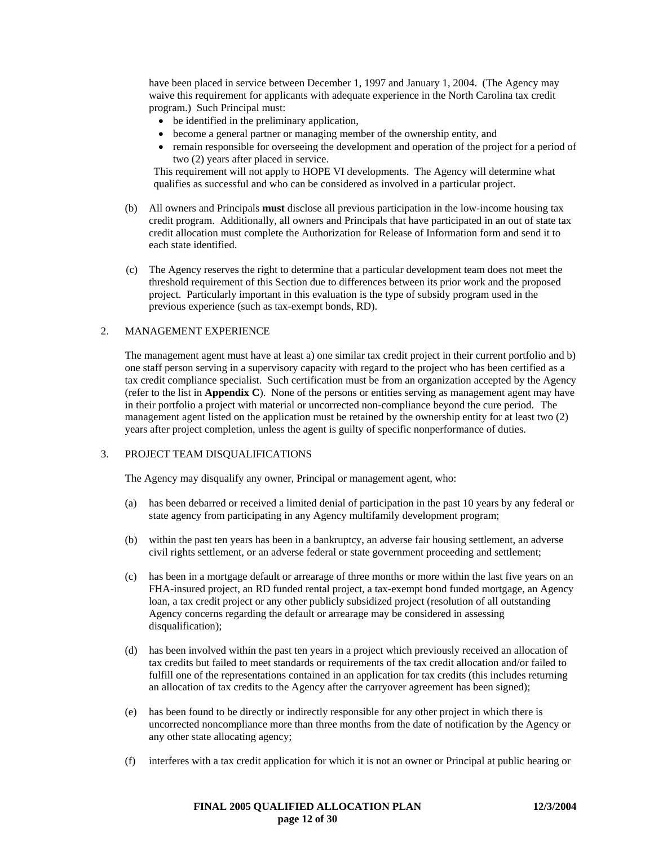have been placed in service between December 1, 1997 and January 1, 2004. (The Agency may waive this requirement for applicants with adequate experience in the North Carolina tax credit program.) Such Principal must:

- be identified in the preliminary application,
- become a general partner or managing member of the ownership entity, and
- remain responsible for overseeing the development and operation of the project for a period of two (2) years after placed in service.

This requirement will not apply to HOPE VI developments. The Agency will determine what qualifies as successful and who can be considered as involved in a particular project.

- (b) All owners and Principals **must** disclose all previous participation in the low-income housing tax credit program. Additionally, all owners and Principals that have participated in an out of state tax credit allocation must complete the Authorization for Release of Information form and send it to each state identified.
- (c) The Agency reserves the right to determine that a particular development team does not meet the threshold requirement of this Section due to differences between its prior work and the proposed project. Particularly important in this evaluation is the type of subsidy program used in the previous experience (such as tax-exempt bonds, RD).

### 2. MANAGEMENT EXPERIENCE

The management agent must have at least a) one similar tax credit project in their current portfolio and b) one staff person serving in a supervisory capacity with regard to the project who has been certified as a tax credit compliance specialist. Such certification must be from an organization accepted by the Agency (refer to the list in **Appendix C**). None of the persons or entities serving as management agent may have in their portfolio a project with material or uncorrected non-compliance beyond the cure period. The management agent listed on the application must be retained by the ownership entity for at least two (2) years after project completion, unless the agent is guilty of specific nonperformance of duties.

#### 3. PROJECT TEAM DISQUALIFICATIONS

The Agency may disqualify any owner, Principal or management agent, who:

- (a) has been debarred or received a limited denial of participation in the past 10 years by any federal or state agency from participating in any Agency multifamily development program;
- (b) within the past ten years has been in a bankruptcy, an adverse fair housing settlement, an adverse civil rights settlement, or an adverse federal or state government proceeding and settlement;
- (c) has been in a mortgage default or arrearage of three months or more within the last five years on an FHA-insured project, an RD funded rental project, a tax-exempt bond funded mortgage, an Agency loan, a tax credit project or any other publicly subsidized project (resolution of all outstanding Agency concerns regarding the default or arrearage may be considered in assessing disqualification);
- (d) has been involved within the past ten years in a project which previously received an allocation of tax credits but failed to meet standards or requirements of the tax credit allocation and/or failed to fulfill one of the representations contained in an application for tax credits (this includes returning an allocation of tax credits to the Agency after the carryover agreement has been signed);
- (e) has been found to be directly or indirectly responsible for any other project in which there is uncorrected noncompliance more than three months from the date of notification by the Agency or any other state allocating agency;
- (f) interferes with a tax credit application for which it is not an owner or Principal at public hearing or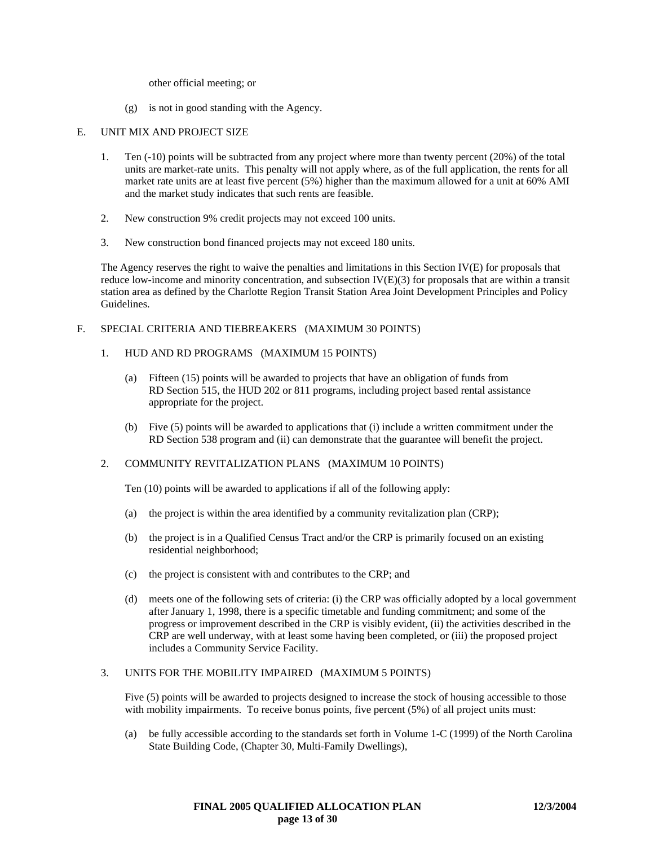other official meeting; or

(g) is not in good standing with the Agency.

#### E. UNIT MIX AND PROJECT SIZE

- 1. Ten (-10) points will be subtracted from any project where more than twenty percent (20%) of the total units are market-rate units. This penalty will not apply where, as of the full application, the rents for all market rate units are at least five percent (5%) higher than the maximum allowed for a unit at 60% AMI and the market study indicates that such rents are feasible.
- 2. New construction 9% credit projects may not exceed 100 units.
- 3. New construction bond financed projects may not exceed 180 units.

The Agency reserves the right to waive the penalties and limitations in this Section IV(E) for proposals that reduce low-income and minority concentration, and subsection IV(E)(3) for proposals that are within a transit station area as defined by the Charlotte Region Transit Station Area Joint Development Principles and Policy Guidelines.

#### F. SPECIAL CRITERIA AND TIEBREAKERS (MAXIMUM 30 POINTS)

- 1. HUD AND RD PROGRAMS (MAXIMUM 15 POINTS)
	- (a) Fifteen (15) points will be awarded to projects that have an obligation of funds from RD Section 515, the HUD 202 or 811 programs, including project based rental assistance appropriate for the project.
	- (b) Five (5) points will be awarded to applications that (i) include a written commitment under the RD Section 538 program and (ii) can demonstrate that the guarantee will benefit the project.

#### 2. COMMUNITY REVITALIZATION PLANS (MAXIMUM 10 POINTS)

Ten (10) points will be awarded to applications if all of the following apply:

- (a) the project is within the area identified by a community revitalization plan (CRP);
- (b) the project is in a Qualified Census Tract and/or the CRP is primarily focused on an existing residential neighborhood;
- (c) the project is consistent with and contributes to the CRP; and
- (d) meets one of the following sets of criteria: (i) the CRP was officially adopted by a local government after January 1, 1998, there is a specific timetable and funding commitment; and some of the progress or improvement described in the CRP is visibly evident, (ii) the activities described in the CRP are well underway, with at least some having been completed, or (iii) the proposed project includes a Community Service Facility.

#### 3. UNITS FOR THE MOBILITY IMPAIRED (MAXIMUM 5 POINTS)

Five (5) points will be awarded to projects designed to increase the stock of housing accessible to those with mobility impairments. To receive bonus points, five percent (5%) of all project units must:

(a) be fully accessible according to the standards set forth in Volume 1-C (1999) of the North Carolina State Building Code, (Chapter 30, Multi-Family Dwellings),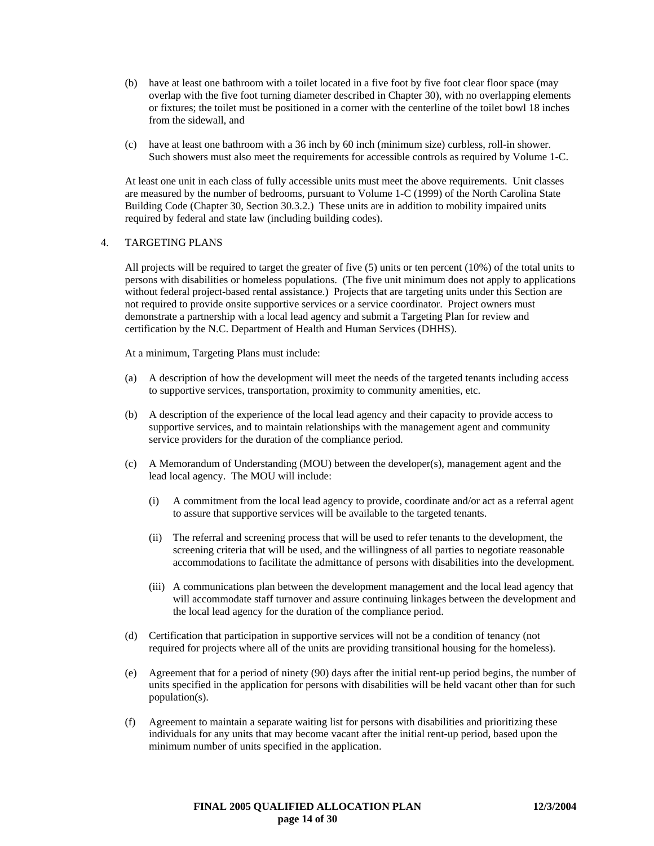- (b) have at least one bathroom with a toilet located in a five foot by five foot clear floor space (may overlap with the five foot turning diameter described in Chapter 30), with no overlapping elements or fixtures; the toilet must be positioned in a corner with the centerline of the toilet bowl 18 inches from the sidewall, and
- (c) have at least one bathroom with a 36 inch by 60 inch (minimum size) curbless, roll-in shower. Such showers must also meet the requirements for accessible controls as required by Volume 1-C.

At least one unit in each class of fully accessible units must meet the above requirements. Unit classes are measured by the number of bedrooms, pursuant to Volume 1-C (1999) of the North Carolina State Building Code (Chapter 30, Section 30.3.2.) These units are in addition to mobility impaired units required by federal and state law (including building codes).

### 4. TARGETING PLANS

All projects will be required to target the greater of five (5) units or ten percent (10%) of the total units to persons with disabilities or homeless populations. (The five unit minimum does not apply to applications without federal project-based rental assistance.) Projects that are targeting units under this Section are not required to provide onsite supportive services or a service coordinator. Project owners must demonstrate a partnership with a local lead agency and submit a Targeting Plan for review and certification by the N.C. Department of Health and Human Services (DHHS).

At a minimum, Targeting Plans must include:

- (a) A description of how the development will meet the needs of the targeted tenants including access to supportive services, transportation, proximity to community amenities, etc.
- (b) A description of the experience of the local lead agency and their capacity to provide access to supportive services, and to maintain relationships with the management agent and community service providers for the duration of the compliance period.
- (c) A Memorandum of Understanding (MOU) between the developer(s), management agent and the lead local agency. The MOU will include:
	- (i) A commitment from the local lead agency to provide, coordinate and/or act as a referral agent to assure that supportive services will be available to the targeted tenants.
	- (ii) The referral and screening process that will be used to refer tenants to the development, the screening criteria that will be used, and the willingness of all parties to negotiate reasonable accommodations to facilitate the admittance of persons with disabilities into the development.
	- (iii) A communications plan between the development management and the local lead agency that will accommodate staff turnover and assure continuing linkages between the development and the local lead agency for the duration of the compliance period.
- (d) Certification that participation in supportive services will not be a condition of tenancy (not required for projects where all of the units are providing transitional housing for the homeless).
- (e) Agreement that for a period of ninety (90) days after the initial rent-up period begins, the number of units specified in the application for persons with disabilities will be held vacant other than for such population(s).
- (f) Agreement to maintain a separate waiting list for persons with disabilities and prioritizing these individuals for any units that may become vacant after the initial rent-up period, based upon the minimum number of units specified in the application.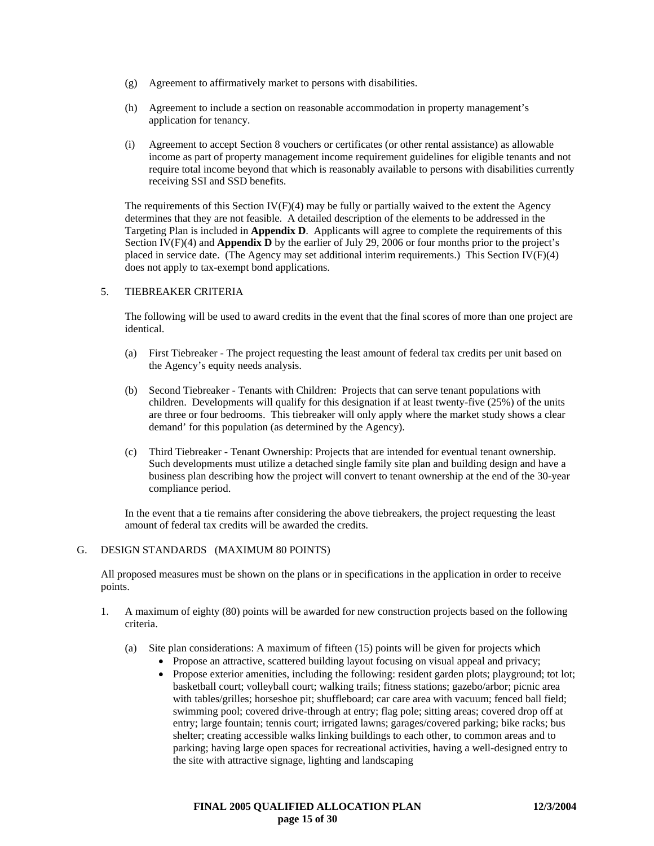- (g) Agreement to affirmatively market to persons with disabilities.
- (h) Agreement to include a section on reasonable accommodation in property management's application for tenancy.
- (i) Agreement to accept Section 8 vouchers or certificates (or other rental assistance) as allowable income as part of property management income requirement guidelines for eligible tenants and not require total income beyond that which is reasonably available to persons with disabilities currently receiving SSI and SSD benefits.

The requirements of this Section  $IV(F)(4)$  may be fully or partially waived to the extent the Agency determines that they are not feasible. A detailed description of the elements to be addressed in the Targeting Plan is included in **Appendix D**. Applicants will agree to complete the requirements of this Section IV(F)(4) and **Appendix D** by the earlier of July 29, 2006 or four months prior to the project's placed in service date. (The Agency may set additional interim requirements.) This Section IV(F)(4) does not apply to tax-exempt bond applications.

# 5. TIEBREAKER CRITERIA

The following will be used to award credits in the event that the final scores of more than one project are identical.

- (a) First Tiebreaker The project requesting the least amount of federal tax credits per unit based on the Agency's equity needs analysis.
- (b) Second Tiebreaker Tenants with Children: Projects that can serve tenant populations with children. Developments will qualify for this designation if at least twenty-five (25%) of the units are three or four bedrooms. This tiebreaker will only apply where the market study shows a clear demand' for this population (as determined by the Agency).
- (c) Third Tiebreaker Tenant Ownership: Projects that are intended for eventual tenant ownership. Such developments must utilize a detached single family site plan and building design and have a business plan describing how the project will convert to tenant ownership at the end of the 30-year compliance period.

In the event that a tie remains after considering the above tiebreakers, the project requesting the least amount of federal tax credits will be awarded the credits.

#### G. DESIGN STANDARDS (MAXIMUM 80 POINTS)

All proposed measures must be shown on the plans or in specifications in the application in order to receive points.

- 1. A maximum of eighty (80) points will be awarded for new construction projects based on the following criteria.
	- (a) Site plan considerations: A maximum of fifteen (15) points will be given for projects which
		- Propose an attractive, scattered building layout focusing on visual appeal and privacy;
		- Propose exterior amenities, including the following: resident garden plots; playground; tot lot; basketball court; volleyball court; walking trails; fitness stations; gazebo/arbor; picnic area with tables/grilles; horseshoe pit; shuffleboard; car care area with vacuum; fenced ball field; swimming pool; covered drive-through at entry; flag pole; sitting areas; covered drop off at entry; large fountain; tennis court; irrigated lawns; garages/covered parking; bike racks; bus shelter; creating accessible walks linking buildings to each other, to common areas and to parking; having large open spaces for recreational activities, having a well-designed entry to the site with attractive signage, lighting and landscaping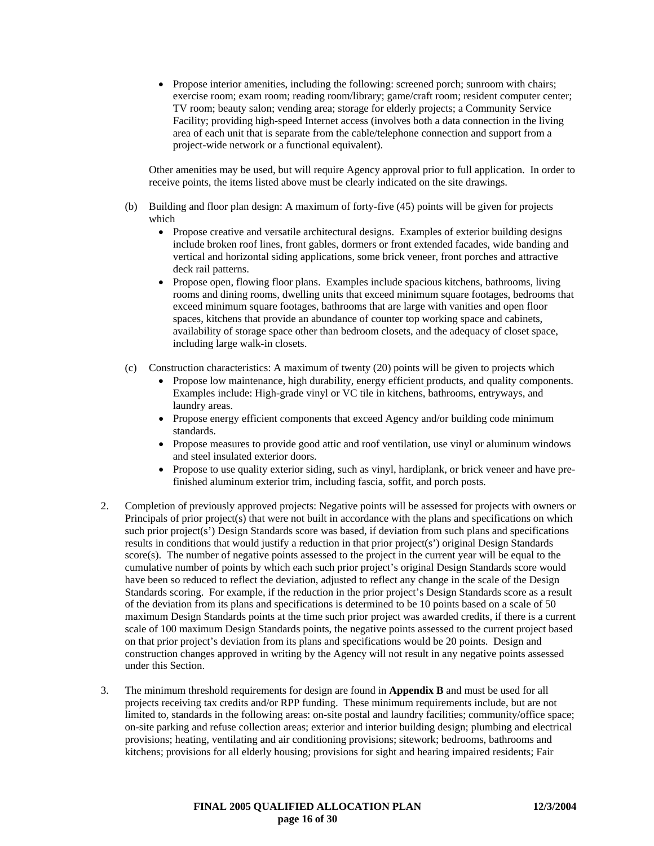• Propose interior amenities, including the following: screened porch; sunroom with chairs; exercise room; exam room; reading room/library; game/craft room; resident computer center; TV room; beauty salon; vending area; storage for elderly projects; a Community Service Facility; providing high-speed Internet access (involves both a data connection in the living area of each unit that is separate from the cable/telephone connection and support from a project-wide network or a functional equivalent).

Other amenities may be used, but will require Agency approval prior to full application. In order to receive points, the items listed above must be clearly indicated on the site drawings.

- (b) Building and floor plan design: A maximum of forty-five (45) points will be given for projects which
	- Propose creative and versatile architectural designs. Examples of exterior building designs include broken roof lines, front gables, dormers or front extended facades, wide banding and vertical and horizontal siding applications, some brick veneer, front porches and attractive deck rail patterns.
	- Propose open, flowing floor plans. Examples include spacious kitchens, bathrooms, living rooms and dining rooms, dwelling units that exceed minimum square footages, bedrooms that exceed minimum square footages, bathrooms that are large with vanities and open floor spaces, kitchens that provide an abundance of counter top working space and cabinets, availability of storage space other than bedroom closets, and the adequacy of closet space, including large walk-in closets.
- (c) Construction characteristics: A maximum of twenty (20) points will be given to projects which
	- Propose low maintenance, high durability, energy efficient products, and quality components. Examples include: High-grade vinyl or VC tile in kitchens, bathrooms, entryways, and laundry areas.
	- Propose energy efficient components that exceed Agency and/or building code minimum standards.
	- Propose measures to provide good attic and roof ventilation, use vinyl or aluminum windows and steel insulated exterior doors.
	- Propose to use quality exterior siding, such as vinyl, hardiplank, or brick veneer and have prefinished aluminum exterior trim, including fascia, soffit, and porch posts.
- 2. Completion of previously approved projects: Negative points will be assessed for projects with owners or Principals of prior project(s) that were not built in accordance with the plans and specifications on which such prior project(s') Design Standards score was based, if deviation from such plans and specifications results in conditions that would justify a reduction in that prior project(s') original Design Standards score(s). The number of negative points assessed to the project in the current year will be equal to the cumulative number of points by which each such prior project's original Design Standards score would have been so reduced to reflect the deviation, adjusted to reflect any change in the scale of the Design Standards scoring. For example, if the reduction in the prior project's Design Standards score as a result of the deviation from its plans and specifications is determined to be 10 points based on a scale of 50 maximum Design Standards points at the time such prior project was awarded credits, if there is a current scale of 100 maximum Design Standards points, the negative points assessed to the current project based on that prior project's deviation from its plans and specifications would be 20 points. Design and construction changes approved in writing by the Agency will not result in any negative points assessed under this Section.
- 3. The minimum threshold requirements for design are found in **Appendix B** and must be used for all projects receiving tax credits and/or RPP funding. These minimum requirements include, but are not limited to, standards in the following areas: on-site postal and laundry facilities; community/office space; on-site parking and refuse collection areas; exterior and interior building design; plumbing and electrical provisions; heating, ventilating and air conditioning provisions; sitework; bedrooms, bathrooms and kitchens; provisions for all elderly housing; provisions for sight and hearing impaired residents; Fair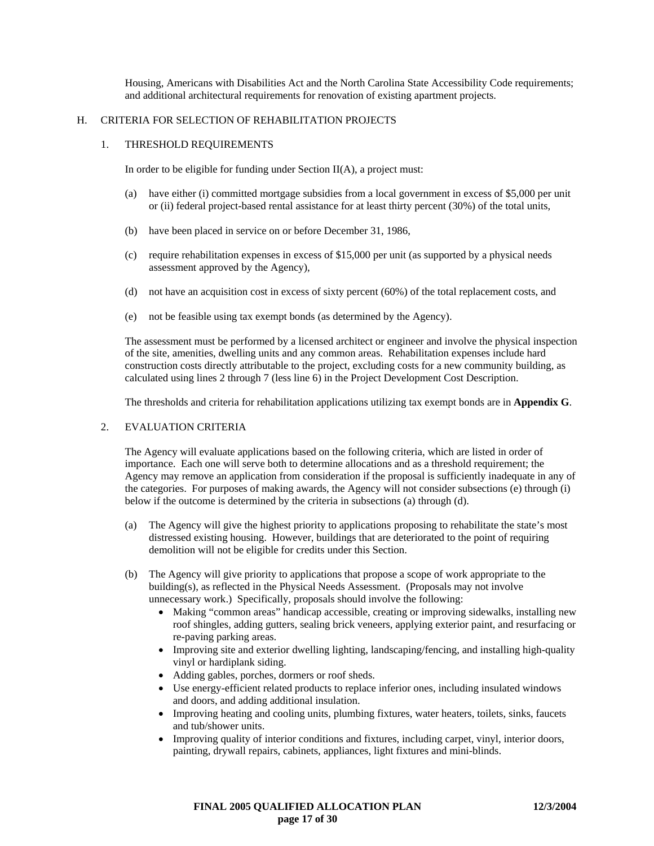Housing, Americans with Disabilities Act and the North Carolina State Accessibility Code requirements; and additional architectural requirements for renovation of existing apartment projects.

### H. CRITERIA FOR SELECTION OF REHABILITATION PROJECTS

#### 1. THRESHOLD REQUIREMENTS

In order to be eligible for funding under Section  $II(A)$ , a project must:

- (a) have either (i) committed mortgage subsidies from a local government in excess of \$5,000 per unit or (ii) federal project-based rental assistance for at least thirty percent (30%) of the total units,
- (b) have been placed in service on or before December 31, 1986,
- (c) require rehabilitation expenses in excess of \$15,000 per unit (as supported by a physical needs assessment approved by the Agency),
- (d) not have an acquisition cost in excess of sixty percent (60%) of the total replacement costs, and
- (e) not be feasible using tax exempt bonds (as determined by the Agency).

The assessment must be performed by a licensed architect or engineer and involve the physical inspection of the site, amenities, dwelling units and any common areas. Rehabilitation expenses include hard construction costs directly attributable to the project, excluding costs for a new community building, as calculated using lines 2 through 7 (less line 6) in the Project Development Cost Description.

The thresholds and criteria for rehabilitation applications utilizing tax exempt bonds are in **Appendix G**.

# 2. EVALUATION CRITERIA

The Agency will evaluate applications based on the following criteria, which are listed in order of importance. Each one will serve both to determine allocations and as a threshold requirement; the Agency may remove an application from consideration if the proposal is sufficiently inadequate in any of the categories. For purposes of making awards, the Agency will not consider subsections (e) through (i) below if the outcome is determined by the criteria in subsections (a) through (d).

- (a) The Agency will give the highest priority to applications proposing to rehabilitate the state's most distressed existing housing. However, buildings that are deteriorated to the point of requiring demolition will not be eligible for credits under this Section.
- (b) The Agency will give priority to applications that propose a scope of work appropriate to the building(s), as reflected in the Physical Needs Assessment. (Proposals may not involve unnecessary work.) Specifically, proposals should involve the following:
	- Making "common areas" handicap accessible, creating or improving sidewalks, installing new roof shingles, adding gutters, sealing brick veneers, applying exterior paint, and resurfacing or re-paving parking areas.
	- Improving site and exterior dwelling lighting, landscaping/fencing, and installing high-quality vinyl or hardiplank siding.
	- Adding gables, porches, dormers or roof sheds.
	- Use energy-efficient related products to replace inferior ones, including insulated windows and doors, and adding additional insulation.
	- Improving heating and cooling units, plumbing fixtures, water heaters, toilets, sinks, faucets and tub/shower units.
	- Improving quality of interior conditions and fixtures, including carpet, vinyl, interior doors, painting, drywall repairs, cabinets, appliances, light fixtures and mini-blinds.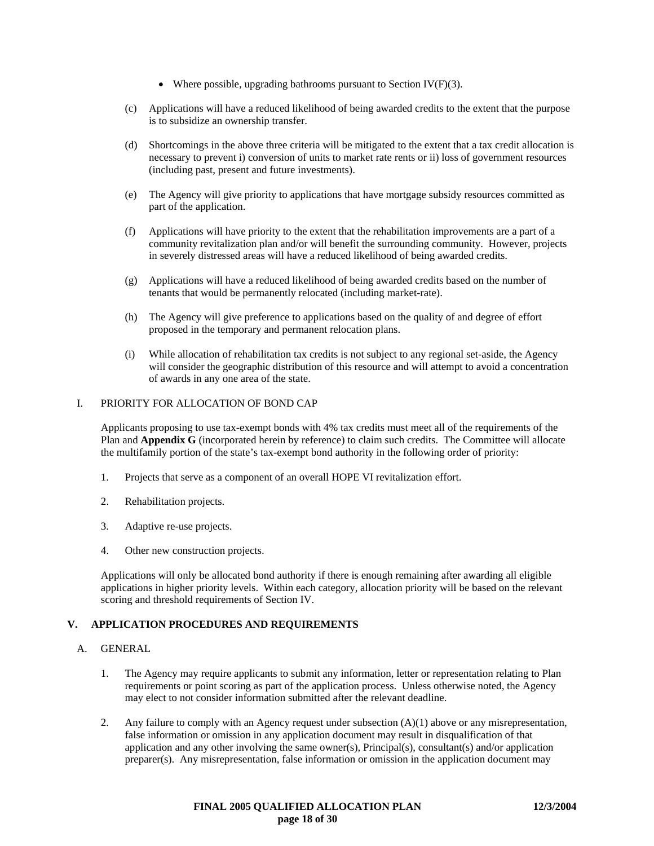- Where possible, upgrading bathrooms pursuant to Section IV( $F$ )(3).
- (c) Applications will have a reduced likelihood of being awarded credits to the extent that the purpose is to subsidize an ownership transfer.
- (d) Shortcomings in the above three criteria will be mitigated to the extent that a tax credit allocation is necessary to prevent i) conversion of units to market rate rents or ii) loss of government resources (including past, present and future investments).
- (e) The Agency will give priority to applications that have mortgage subsidy resources committed as part of the application.
- (f) Applications will have priority to the extent that the rehabilitation improvements are a part of a community revitalization plan and/or will benefit the surrounding community. However, projects in severely distressed areas will have a reduced likelihood of being awarded credits.
- (g) Applications will have a reduced likelihood of being awarded credits based on the number of tenants that would be permanently relocated (including market-rate).
- (h) The Agency will give preference to applications based on the quality of and degree of effort proposed in the temporary and permanent relocation plans.
- (i) While allocation of rehabilitation tax credits is not subject to any regional set-aside, the Agency will consider the geographic distribution of this resource and will attempt to avoid a concentration of awards in any one area of the state.

# I. PRIORITY FOR ALLOCATION OF BOND CAP

Applicants proposing to use tax-exempt bonds with 4% tax credits must meet all of the requirements of the Plan and **Appendix G** (incorporated herein by reference) to claim such credits. The Committee will allocate the multifamily portion of the state's tax-exempt bond authority in the following order of priority:

- 1. Projects that serve as a component of an overall HOPE VI revitalization effort.
- 2. Rehabilitation projects.
- 3. Adaptive re-use projects.
- 4. Other new construction projects.

Applications will only be allocated bond authority if there is enough remaining after awarding all eligible applications in higher priority levels. Within each category, allocation priority will be based on the relevant scoring and threshold requirements of Section IV.

# **V. APPLICATION PROCEDURES AND REQUIREMENTS**

#### A. GENERAL

- 1. The Agency may require applicants to submit any information, letter or representation relating to Plan requirements or point scoring as part of the application process. Unless otherwise noted, the Agency may elect to not consider information submitted after the relevant deadline.
- 2. Any failure to comply with an Agency request under subsection (A)(1) above or any misrepresentation, false information or omission in any application document may result in disqualification of that application and any other involving the same owner(s), Principal(s), consultant(s) and/or application preparer(s). Any misrepresentation, false information or omission in the application document may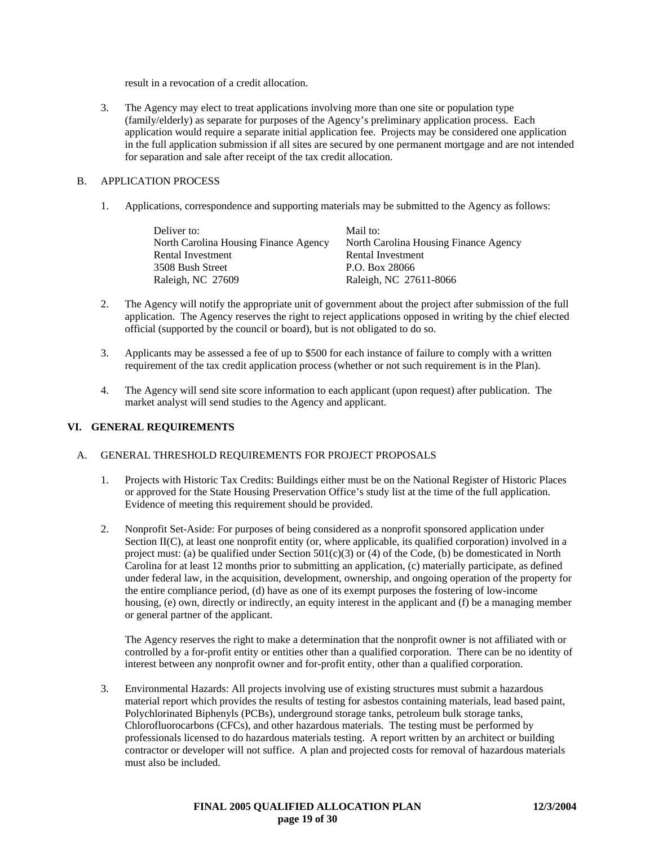result in a revocation of a credit allocation.

3. The Agency may elect to treat applications involving more than one site or population type (family/elderly) as separate for purposes of the Agency's preliminary application process. Each application would require a separate initial application fee. Projects may be considered one application in the full application submission if all sites are secured by one permanent mortgage and are not intended for separation and sale after receipt of the tax credit allocation.

# B. APPLICATION PROCESS

1. Applications, correspondence and supporting materials may be submitted to the Agency as follows:

| Deliver to:                           | Mail to:                              |
|---------------------------------------|---------------------------------------|
| North Carolina Housing Finance Agency | North Carolina Housing Finance Agency |
| Rental Investment                     | Rental Investment                     |
| 3508 Bush Street                      | P.O. Box 28066                        |
| Raleigh, NC 27609                     | Raleigh, NC 27611-8066                |

- 2. The Agency will notify the appropriate unit of government about the project after submission of the full application. The Agency reserves the right to reject applications opposed in writing by the chief elected official (supported by the council or board), but is not obligated to do so.
- 3. Applicants may be assessed a fee of up to \$500 for each instance of failure to comply with a written requirement of the tax credit application process (whether or not such requirement is in the Plan).
- 4. The Agency will send site score information to each applicant (upon request) after publication. The market analyst will send studies to the Agency and applicant.

# **VI. GENERAL REQUIREMENTS**

# A. GENERAL THRESHOLD REQUIREMENTS FOR PROJECT PROPOSALS

- 1. Projects with Historic Tax Credits: Buildings either must be on the National Register of Historic Places or approved for the State Housing Preservation Office's study list at the time of the full application. Evidence of meeting this requirement should be provided.
- 2. Nonprofit Set-Aside: For purposes of being considered as a nonprofit sponsored application under Section II(C), at least one nonprofit entity (or, where applicable, its qualified corporation) involved in a project must: (a) be qualified under Section  $501(c)(3)$  or (4) of the Code, (b) be domesticated in North Carolina for at least 12 months prior to submitting an application, (c) materially participate, as defined under federal law, in the acquisition, development, ownership, and ongoing operation of the property for the entire compliance period, (d) have as one of its exempt purposes the fostering of low-income housing, (e) own, directly or indirectly, an equity interest in the applicant and (f) be a managing member or general partner of the applicant.

The Agency reserves the right to make a determination that the nonprofit owner is not affiliated with or controlled by a for-profit entity or entities other than a qualified corporation. There can be no identity of interest between any nonprofit owner and for-profit entity, other than a qualified corporation.

3. Environmental Hazards: All projects involving use of existing structures must submit a hazardous material report which provides the results of testing for asbestos containing materials, lead based paint, Polychlorinated Biphenyls (PCBs), underground storage tanks, petroleum bulk storage tanks, Chlorofluorocarbons (CFCs), and other hazardous materials. The testing must be performed by professionals licensed to do hazardous materials testing. A report written by an architect or building contractor or developer will not suffice. A plan and projected costs for removal of hazardous materials must also be included.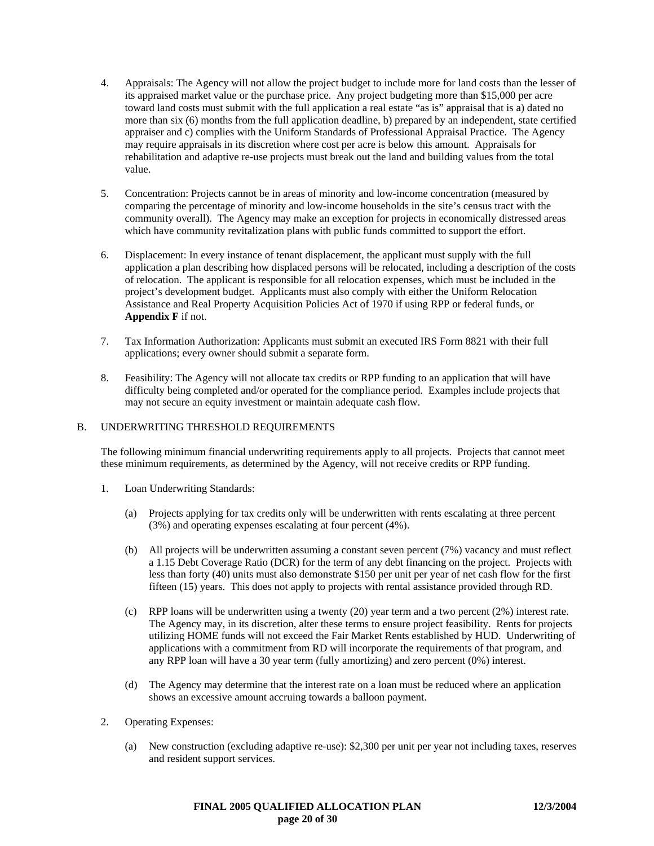- 4. Appraisals: The Agency will not allow the project budget to include more for land costs than the lesser of its appraised market value or the purchase price. Any project budgeting more than \$15,000 per acre toward land costs must submit with the full application a real estate "as is" appraisal that is a) dated no more than six (6) months from the full application deadline, b) prepared by an independent, state certified appraiser and c) complies with the Uniform Standards of Professional Appraisal Practice. The Agency may require appraisals in its discretion where cost per acre is below this amount. Appraisals for rehabilitation and adaptive re-use projects must break out the land and building values from the total value.
- 5. Concentration: Projects cannot be in areas of minority and low-income concentration (measured by comparing the percentage of minority and low-income households in the site's census tract with the community overall). The Agency may make an exception for projects in economically distressed areas which have community revitalization plans with public funds committed to support the effort.
- 6. Displacement: In every instance of tenant displacement, the applicant must supply with the full application a plan describing how displaced persons will be relocated, including a description of the costs of relocation. The applicant is responsible for all relocation expenses, which must be included in the project's development budget. Applicants must also comply with either the Uniform Relocation Assistance and Real Property Acquisition Policies Act of 1970 if using RPP or federal funds, or **Appendix F** if not.
- 7. Tax Information Authorization: Applicants must submit an executed IRS Form 8821 with their full applications; every owner should submit a separate form.
- 8. Feasibility: The Agency will not allocate tax credits or RPP funding to an application that will have difficulty being completed and/or operated for the compliance period. Examples include projects that may not secure an equity investment or maintain adequate cash flow.

# B. UNDERWRITING THRESHOLD REQUIREMENTS

The following minimum financial underwriting requirements apply to all projects. Projects that cannot meet these minimum requirements, as determined by the Agency, will not receive credits or RPP funding.

- 1. Loan Underwriting Standards:
	- (a) Projects applying for tax credits only will be underwritten with rents escalating at three percent (3%) and operating expenses escalating at four percent (4%).
	- (b) All projects will be underwritten assuming a constant seven percent (7%) vacancy and must reflect a 1.15 Debt Coverage Ratio (DCR) for the term of any debt financing on the project. Projects with less than forty (40) units must also demonstrate \$150 per unit per year of net cash flow for the first fifteen (15) years. This does not apply to projects with rental assistance provided through RD.
	- (c) RPP loans will be underwritten using a twenty (20) year term and a two percent (2%) interest rate. The Agency may, in its discretion, alter these terms to ensure project feasibility. Rents for projects utilizing HOME funds will not exceed the Fair Market Rents established by HUD. Underwriting of applications with a commitment from RD will incorporate the requirements of that program, and any RPP loan will have a 30 year term (fully amortizing) and zero percent (0%) interest.
	- (d) The Agency may determine that the interest rate on a loan must be reduced where an application shows an excessive amount accruing towards a balloon payment.
- 2. Operating Expenses:
	- (a) New construction (excluding adaptive re-use): \$2,300 per unit per year not including taxes, reserves and resident support services.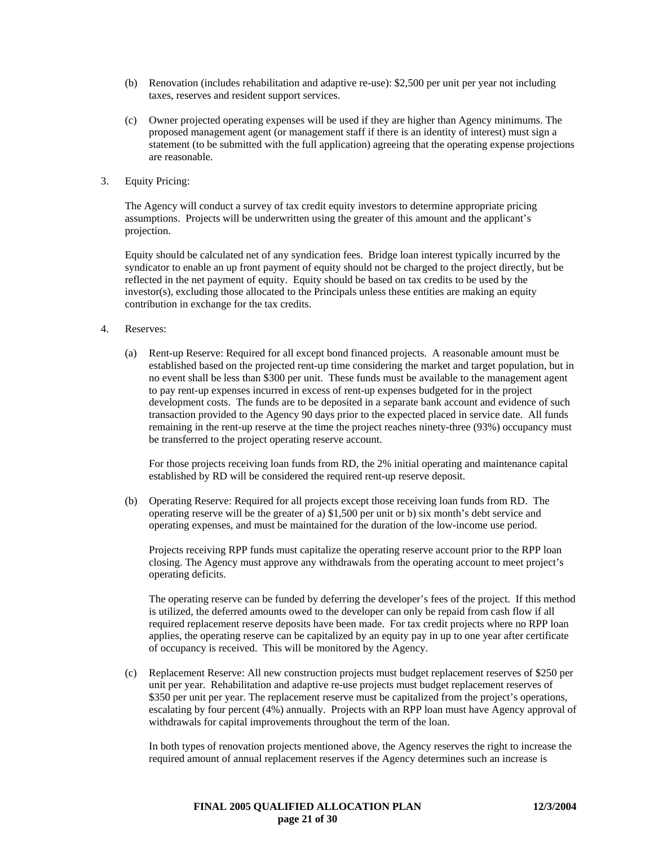- (b) Renovation (includes rehabilitation and adaptive re-use): \$2,500 per unit per year not including taxes, reserves and resident support services.
- (c) Owner projected operating expenses will be used if they are higher than Agency minimums. The proposed management agent (or management staff if there is an identity of interest) must sign a statement (to be submitted with the full application) agreeing that the operating expense projections are reasonable.
- 3. Equity Pricing:

The Agency will conduct a survey of tax credit equity investors to determine appropriate pricing assumptions. Projects will be underwritten using the greater of this amount and the applicant's projection.

Equity should be calculated net of any syndication fees. Bridge loan interest typically incurred by the syndicator to enable an up front payment of equity should not be charged to the project directly, but be reflected in the net payment of equity. Equity should be based on tax credits to be used by the investor(s), excluding those allocated to the Principals unless these entities are making an equity contribution in exchange for the tax credits.

- 4. Reserves:
	- (a) Rent-up Reserve: Required for all except bond financed projects. A reasonable amount must be established based on the projected rent-up time considering the market and target population, but in no event shall be less than \$300 per unit. These funds must be available to the management agent to pay rent-up expenses incurred in excess of rent-up expenses budgeted for in the project development costs. The funds are to be deposited in a separate bank account and evidence of such transaction provided to the Agency 90 days prior to the expected placed in service date. All funds remaining in the rent-up reserve at the time the project reaches ninety-three (93%) occupancy must be transferred to the project operating reserve account.

For those projects receiving loan funds from RD, the 2% initial operating and maintenance capital established by RD will be considered the required rent-up reserve deposit.

(b) Operating Reserve: Required for all projects except those receiving loan funds from RD. The operating reserve will be the greater of a) \$1,500 per unit or b) six month's debt service and operating expenses, and must be maintained for the duration of the low-income use period.

Projects receiving RPP funds must capitalize the operating reserve account prior to the RPP loan closing. The Agency must approve any withdrawals from the operating account to meet project's operating deficits.

The operating reserve can be funded by deferring the developer's fees of the project. If this method is utilized, the deferred amounts owed to the developer can only be repaid from cash flow if all required replacement reserve deposits have been made. For tax credit projects where no RPP loan applies, the operating reserve can be capitalized by an equity pay in up to one year after certificate of occupancy is received. This will be monitored by the Agency.

(c) Replacement Reserve: All new construction projects must budget replacement reserves of \$250 per unit per year. Rehabilitation and adaptive re-use projects must budget replacement reserves of \$350 per unit per year. The replacement reserve must be capitalized from the project's operations, escalating by four percent (4%) annually. Projects with an RPP loan must have Agency approval of withdrawals for capital improvements throughout the term of the loan.

 In both types of renovation projects mentioned above, the Agency reserves the right to increase the required amount of annual replacement reserves if the Agency determines such an increase is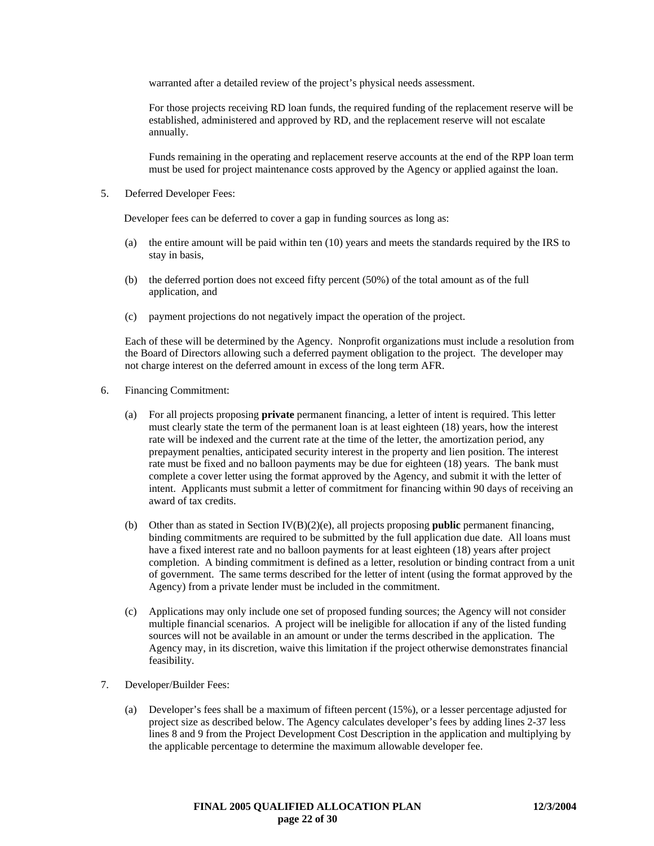warranted after a detailed review of the project's physical needs assessment.

 For those projects receiving RD loan funds, the required funding of the replacement reserve will be established, administered and approved by RD, and the replacement reserve will not escalate annually.

 Funds remaining in the operating and replacement reserve accounts at the end of the RPP loan term must be used for project maintenance costs approved by the Agency or applied against the loan.

5. Deferred Developer Fees:

Developer fees can be deferred to cover a gap in funding sources as long as:

- (a) the entire amount will be paid within ten (10) years and meets the standards required by the IRS to stay in basis,
- (b) the deferred portion does not exceed fifty percent (50%) of the total amount as of the full application, and
- (c) payment projections do not negatively impact the operation of the project.

Each of these will be determined by the Agency. Nonprofit organizations must include a resolution from the Board of Directors allowing such a deferred payment obligation to the project. The developer may not charge interest on the deferred amount in excess of the long term AFR.

- 6. Financing Commitment:
	- (a) For all projects proposing **private** permanent financing, a letter of intent is required. This letter must clearly state the term of the permanent loan is at least eighteen (18) years, how the interest rate will be indexed and the current rate at the time of the letter, the amortization period, any prepayment penalties, anticipated security interest in the property and lien position. The interest rate must be fixed and no balloon payments may be due for eighteen (18) years. The bank must complete a cover letter using the format approved by the Agency, and submit it with the letter of intent. Applicants must submit a letter of commitment for financing within 90 days of receiving an award of tax credits.
	- (b) Other than as stated in Section IV(B)(2)(e), all projects proposing **public** permanent financing, binding commitments are required to be submitted by the full application due date. All loans must have a fixed interest rate and no balloon payments for at least eighteen (18) years after project completion. A binding commitment is defined as a letter, resolution or binding contract from a unit of government. The same terms described for the letter of intent (using the format approved by the Agency) from a private lender must be included in the commitment.
	- (c) Applications may only include one set of proposed funding sources; the Agency will not consider multiple financial scenarios. A project will be ineligible for allocation if any of the listed funding sources will not be available in an amount or under the terms described in the application. The Agency may, in its discretion, waive this limitation if the project otherwise demonstrates financial feasibility.
- 7. Developer/Builder Fees:
	- (a) Developer's fees shall be a maximum of fifteen percent (15%), or a lesser percentage adjusted for project size as described below. The Agency calculates developer's fees by adding lines 2-37 less lines 8 and 9 from the Project Development Cost Description in the application and multiplying by the applicable percentage to determine the maximum allowable developer fee.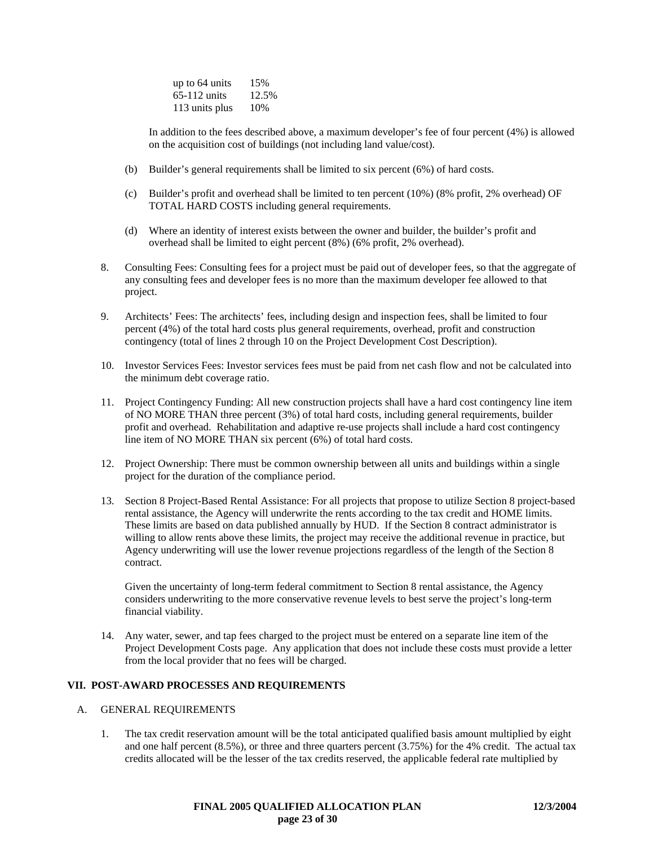| up to 64 units | 15%   |
|----------------|-------|
| $65-112$ units | 12.5% |
| 113 units plus | 10%   |

In addition to the fees described above, a maximum developer's fee of four percent (4%) is allowed on the acquisition cost of buildings (not including land value/cost).

- (b) Builder's general requirements shall be limited to six percent (6%) of hard costs.
- (c) Builder's profit and overhead shall be limited to ten percent (10%) (8% profit, 2% overhead) OF TOTAL HARD COSTS including general requirements.
- (d) Where an identity of interest exists between the owner and builder, the builder's profit and overhead shall be limited to eight percent (8%) (6% profit, 2% overhead).
- 8. Consulting Fees: Consulting fees for a project must be paid out of developer fees, so that the aggregate of any consulting fees and developer fees is no more than the maximum developer fee allowed to that project.
- 9. Architects' Fees: The architects' fees, including design and inspection fees, shall be limited to four percent (4%) of the total hard costs plus general requirements, overhead, profit and construction contingency (total of lines 2 through 10 on the Project Development Cost Description).
- 10. Investor Services Fees: Investor services fees must be paid from net cash flow and not be calculated into the minimum debt coverage ratio.
- 11. Project Contingency Funding: All new construction projects shall have a hard cost contingency line item of NO MORE THAN three percent (3%) of total hard costs, including general requirements, builder profit and overhead. Rehabilitation and adaptive re-use projects shall include a hard cost contingency line item of NO MORE THAN six percent (6%) of total hard costs.
- 12. Project Ownership: There must be common ownership between all units and buildings within a single project for the duration of the compliance period.
- 13. Section 8 Project-Based Rental Assistance: For all projects that propose to utilize Section 8 project-based rental assistance, the Agency will underwrite the rents according to the tax credit and HOME limits. These limits are based on data published annually by HUD. If the Section 8 contract administrator is willing to allow rents above these limits, the project may receive the additional revenue in practice, but Agency underwriting will use the lower revenue projections regardless of the length of the Section 8 contract.

Given the uncertainty of long-term federal commitment to Section 8 rental assistance, the Agency considers underwriting to the more conservative revenue levels to best serve the project's long-term financial viability.

14. Any water, sewer, and tap fees charged to the project must be entered on a separate line item of the Project Development Costs page. Any application that does not include these costs must provide a letter from the local provider that no fees will be charged.

# **VII. POST-AWARD PROCESSES AND REQUIREMENTS**

#### A. GENERAL REQUIREMENTS

1. The tax credit reservation amount will be the total anticipated qualified basis amount multiplied by eight and one half percent (8.5%), or three and three quarters percent (3.75%) for the 4% credit. The actual tax credits allocated will be the lesser of the tax credits reserved, the applicable federal rate multiplied by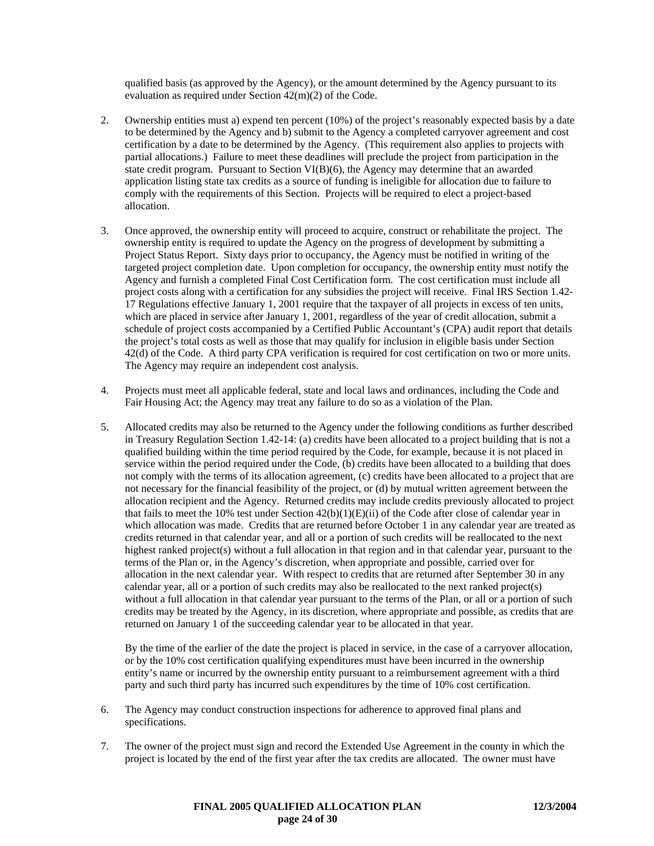qualified basis (as approved by the Agency), or the amount determined by the Agency pursuant to its evaluation as required under Section 42(m)(2) of the Code.

- 2. Ownership entities must a) expend ten percent (10%) of the project's reasonably expected basis by a date to be determined by the Agency and b) submit to the Agency a completed carryover agreement and cost certification by a date to be determined by the Agency. (This requirement also applies to projects with partial allocations.) Failure to meet these deadlines will preclude the project from participation in the state credit program. Pursuant to Section VI(B)(6), the Agency may determine that an awarded application listing state tax credits as a source of funding is ineligible for allocation due to failure to comply with the requirements of this Section. Projects will be required to elect a project-based allocation.
- 3. Once approved, the ownership entity will proceed to acquire, construct or rehabilitate the project. The ownership entity is required to update the Agency on the progress of development by submitting a Project Status Report. Sixty days prior to occupancy, the Agency must be notified in writing of the targeted project completion date. Upon completion for occupancy, the ownership entity must notify the Agency and furnish a completed Final Cost Certification form. The cost certification must include all project costs along with a certification for any subsidies the project will receive. Final IRS Section 1.42- 17 Regulations effective January 1, 2001 require that the taxpayer of all projects in excess of ten units, which are placed in service after January 1, 2001, regardless of the year of credit allocation, submit a schedule of project costs accompanied by a Certified Public Accountant's (CPA) audit report that details the project's total costs as well as those that may qualify for inclusion in eligible basis under Section 42(d) of the Code. A third party CPA verification is required for cost certification on two or more units. The Agency may require an independent cost analysis.
- 4. Projects must meet all applicable federal, state and local laws and ordinances, including the Code and Fair Housing Act; the Agency may treat any failure to do so as a violation of the Plan.
- 5. Allocated credits may also be returned to the Agency under the following conditions as further described in Treasury Regulation Section 1.42-14: (a) credits have been allocated to a project building that is not a qualified building within the time period required by the Code, for example, because it is not placed in service within the period required under the Code, (b) credits have been allocated to a building that does not comply with the terms of its allocation agreement, (c) credits have been allocated to a project that are not necessary for the financial feasibility of the project, or (d) by mutual written agreement between the allocation recipient and the Agency. Returned credits may include credits previously allocated to project that fails to meet the 10% test under Section  $42(b)(1)(E)(ii)$  of the Code after close of calendar year in which allocation was made. Credits that are returned before October 1 in any calendar year are treated as credits returned in that calendar year, and all or a portion of such credits will be reallocated to the next highest ranked project(s) without a full allocation in that region and in that calendar year, pursuant to the terms of the Plan or, in the Agency's discretion, when appropriate and possible, carried over for allocation in the next calendar year. With respect to credits that are returned after September 30 in any calendar year, all or a portion of such credits may also be reallocated to the next ranked project(s) without a full allocation in that calendar year pursuant to the terms of the Plan, or all or a portion of such credits may be treated by the Agency, in its discretion, where appropriate and possible, as credits that are returned on January 1 of the succeeding calendar year to be allocated in that year.

By the time of the earlier of the date the project is placed in service, in the case of a carryover allocation, or by the 10% cost certification qualifying expenditures must have been incurred in the ownership entity's name or incurred by the ownership entity pursuant to a reimbursement agreement with a third party and such third party has incurred such expenditures by the time of 10% cost certification.

- 6. The Agency may conduct construction inspections for adherence to approved final plans and specifications.
- 7. The owner of the project must sign and record the Extended Use Agreement in the county in which the project is located by the end of the first year after the tax credits are allocated. The owner must have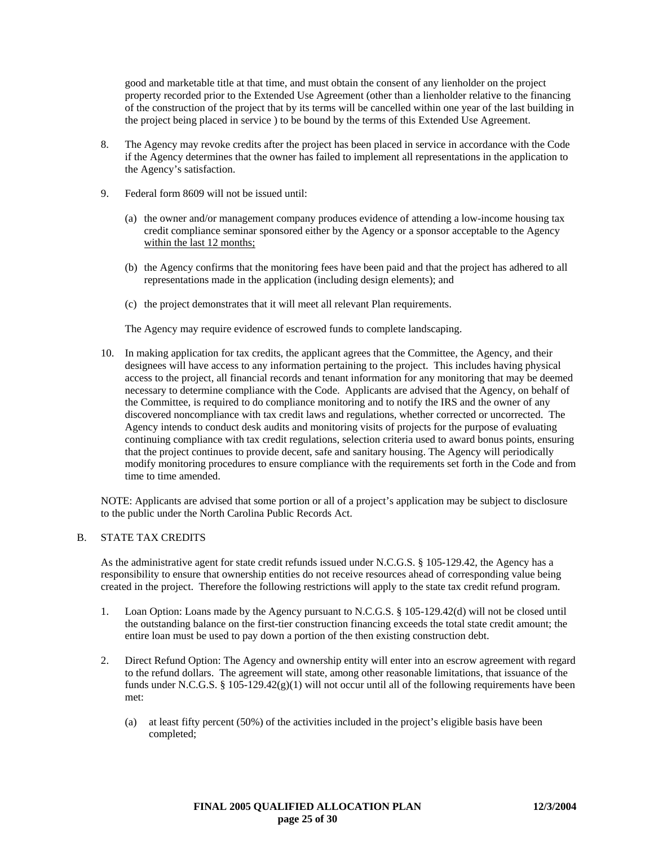good and marketable title at that time, and must obtain the consent of any lienholder on the project property recorded prior to the Extended Use Agreement (other than a lienholder relative to the financing of the construction of the project that by its terms will be cancelled within one year of the last building in the project being placed in service ) to be bound by the terms of this Extended Use Agreement.

- 8. The Agency may revoke credits after the project has been placed in service in accordance with the Code if the Agency determines that the owner has failed to implement all representations in the application to the Agency's satisfaction.
- 9. Federal form 8609 will not be issued until:
	- (a) the owner and/or management company produces evidence of attending a low-income housing tax credit compliance seminar sponsored either by the Agency or a sponsor acceptable to the Agency within the last 12 months;
	- (b) the Agency confirms that the monitoring fees have been paid and that the project has adhered to all representations made in the application (including design elements); and
	- (c) the project demonstrates that it will meet all relevant Plan requirements.

The Agency may require evidence of escrowed funds to complete landscaping.

10. In making application for tax credits, the applicant agrees that the Committee, the Agency, and their designees will have access to any information pertaining to the project. This includes having physical access to the project, all financial records and tenant information for any monitoring that may be deemed necessary to determine compliance with the Code. Applicants are advised that the Agency, on behalf of the Committee, is required to do compliance monitoring and to notify the IRS and the owner of any discovered noncompliance with tax credit laws and regulations, whether corrected or uncorrected. The Agency intends to conduct desk audits and monitoring visits of projects for the purpose of evaluating continuing compliance with tax credit regulations, selection criteria used to award bonus points, ensuring that the project continues to provide decent, safe and sanitary housing. The Agency will periodically modify monitoring procedures to ensure compliance with the requirements set forth in the Code and from time to time amended.

NOTE: Applicants are advised that some portion or all of a project's application may be subject to disclosure to the public under the North Carolina Public Records Act.

# B. STATE TAX CREDITS

As the administrative agent for state credit refunds issued under N.C.G.S. § 105-129.42, the Agency has a responsibility to ensure that ownership entities do not receive resources ahead of corresponding value being created in the project. Therefore the following restrictions will apply to the state tax credit refund program.

- 1. Loan Option: Loans made by the Agency pursuant to N.C.G.S. § 105-129.42(d) will not be closed until the outstanding balance on the first-tier construction financing exceeds the total state credit amount; the entire loan must be used to pay down a portion of the then existing construction debt.
- 2. Direct Refund Option: The Agency and ownership entity will enter into an escrow agreement with regard to the refund dollars. The agreement will state, among other reasonable limitations, that issuance of the funds under N.C.G.S. § 105-129.42(g)(1) will not occur until all of the following requirements have been met:
	- (a) at least fifty percent (50%) of the activities included in the project's eligible basis have been completed;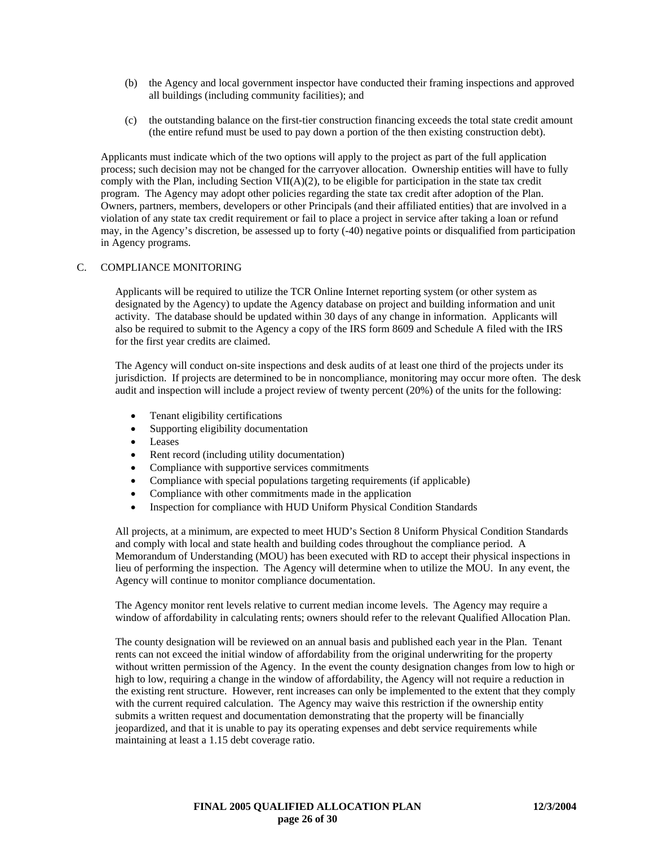- (b) the Agency and local government inspector have conducted their framing inspections and approved all buildings (including community facilities); and
- (c) the outstanding balance on the first-tier construction financing exceeds the total state credit amount (the entire refund must be used to pay down a portion of the then existing construction debt).

Applicants must indicate which of the two options will apply to the project as part of the full application process; such decision may not be changed for the carryover allocation. Ownership entities will have to fully comply with the Plan, including Section VII( $A$ )(2), to be eligible for participation in the state tax credit program. The Agency may adopt other policies regarding the state tax credit after adoption of the Plan. Owners, partners, members, developers or other Principals (and their affiliated entities) that are involved in a violation of any state tax credit requirement or fail to place a project in service after taking a loan or refund may, in the Agency's discretion, be assessed up to forty (-40) negative points or disqualified from participation in Agency programs.

### C. COMPLIANCE MONITORING

Applicants will be required to utilize the TCR Online Internet reporting system (or other system as designated by the Agency) to update the Agency database on project and building information and unit activity. The database should be updated within 30 days of any change in information. Applicants will also be required to submit to the Agency a copy of the IRS form 8609 and Schedule A filed with the IRS for the first year credits are claimed.

The Agency will conduct on-site inspections and desk audits of at least one third of the projects under its jurisdiction. If projects are determined to be in noncompliance, monitoring may occur more often. The desk audit and inspection will include a project review of twenty percent (20%) of the units for the following:

- Tenant eligibility certifications
- Supporting eligibility documentation
- Leases
- Rent record (including utility documentation)
- Compliance with supportive services commitments
- Compliance with special populations targeting requirements (if applicable)
- Compliance with other commitments made in the application
- Inspection for compliance with HUD Uniform Physical Condition Standards

All projects, at a minimum, are expected to meet HUD's Section 8 Uniform Physical Condition Standards and comply with local and state health and building codes throughout the compliance period. A Memorandum of Understanding (MOU) has been executed with RD to accept their physical inspections in lieu of performing the inspection. The Agency will determine when to utilize the MOU. In any event, the Agency will continue to monitor compliance documentation.

The Agency monitor rent levels relative to current median income levels. The Agency may require a window of affordability in calculating rents; owners should refer to the relevant Qualified Allocation Plan.

The county designation will be reviewed on an annual basis and published each year in the Plan. Tenant rents can not exceed the initial window of affordability from the original underwriting for the property without written permission of the Agency. In the event the county designation changes from low to high or high to low, requiring a change in the window of affordability, the Agency will not require a reduction in the existing rent structure. However, rent increases can only be implemented to the extent that they comply with the current required calculation. The Agency may waive this restriction if the ownership entity submits a written request and documentation demonstrating that the property will be financially jeopardized, and that it is unable to pay its operating expenses and debt service requirements while maintaining at least a 1.15 debt coverage ratio.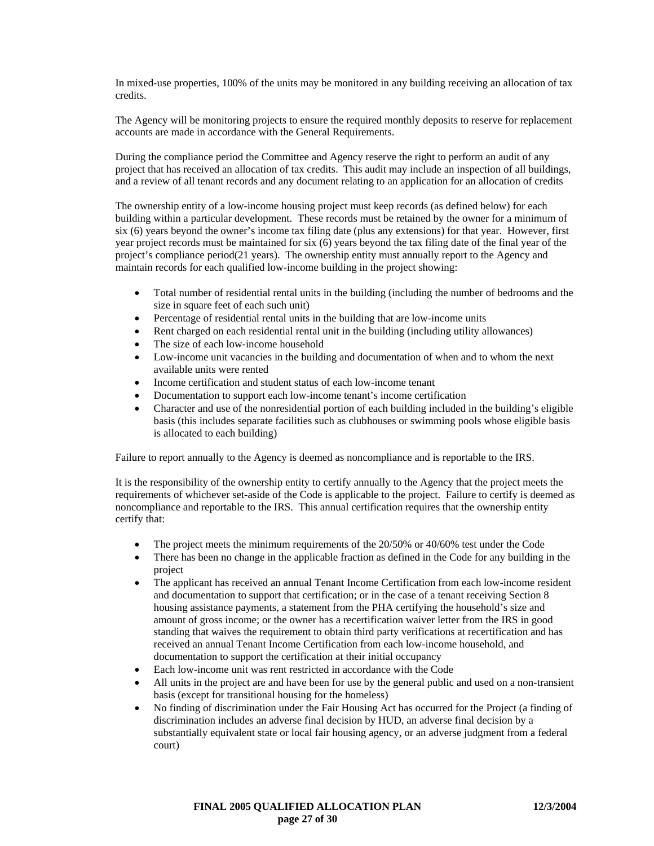In mixed-use properties, 100% of the units may be monitored in any building receiving an allocation of tax credits.

The Agency will be monitoring projects to ensure the required monthly deposits to reserve for replacement accounts are made in accordance with the General Requirements.

During the compliance period the Committee and Agency reserve the right to perform an audit of any project that has received an allocation of tax credits. This audit may include an inspection of all buildings, and a review of all tenant records and any document relating to an application for an allocation of credits

The ownership entity of a low-income housing project must keep records (as defined below) for each building within a particular development. These records must be retained by the owner for a minimum of six (6) years beyond the owner's income tax filing date (plus any extensions) for that year. However, first year project records must be maintained for six (6) years beyond the tax filing date of the final year of the project's compliance period(21 years). The ownership entity must annually report to the Agency and maintain records for each qualified low-income building in the project showing:

- Total number of residential rental units in the building (including the number of bedrooms and the size in square feet of each such unit)
- Percentage of residential rental units in the building that are low-income units
- Rent charged on each residential rental unit in the building (including utility allowances)
- The size of each low-income household
- Low-income unit vacancies in the building and documentation of when and to whom the next available units were rented
- Income certification and student status of each low-income tenant
- Documentation to support each low-income tenant's income certification
- Character and use of the nonresidential portion of each building included in the building's eligible basis (this includes separate facilities such as clubhouses or swimming pools whose eligible basis is allocated to each building)

Failure to report annually to the Agency is deemed as noncompliance and is reportable to the IRS.

It is the responsibility of the ownership entity to certify annually to the Agency that the project meets the requirements of whichever set-aside of the Code is applicable to the project. Failure to certify is deemed as noncompliance and reportable to the IRS. This annual certification requires that the ownership entity certify that:

- The project meets the minimum requirements of the 20/50% or 40/60% test under the Code
- There has been no change in the applicable fraction as defined in the Code for any building in the project
- The applicant has received an annual Tenant Income Certification from each low-income resident and documentation to support that certification; or in the case of a tenant receiving Section 8 housing assistance payments, a statement from the PHA certifying the household's size and amount of gross income; or the owner has a recertification waiver letter from the IRS in good standing that waives the requirement to obtain third party verifications at recertification and has received an annual Tenant Income Certification from each low-income household, and documentation to support the certification at their initial occupancy
- Each low-income unit was rent restricted in accordance with the Code
- All units in the project are and have been for use by the general public and used on a non-transient basis (except for transitional housing for the homeless)
- No finding of discrimination under the Fair Housing Act has occurred for the Project (a finding of discrimination includes an adverse final decision by HUD, an adverse final decision by a substantially equivalent state or local fair housing agency, or an adverse judgment from a federal court)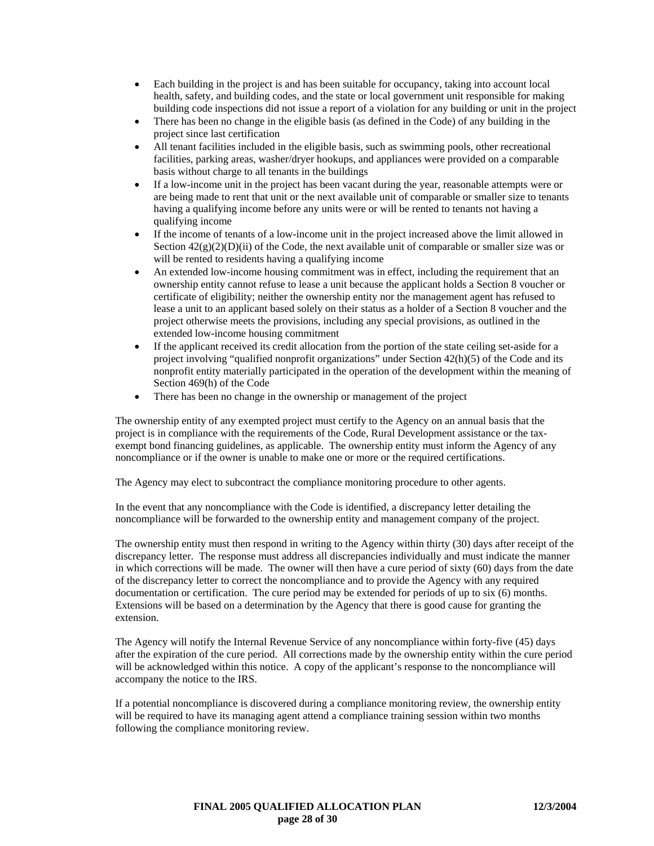- Each building in the project is and has been suitable for occupancy, taking into account local health, safety, and building codes, and the state or local government unit responsible for making building code inspections did not issue a report of a violation for any building or unit in the project
- There has been no change in the eligible basis (as defined in the Code) of any building in the project since last certification
- All tenant facilities included in the eligible basis, such as swimming pools, other recreational facilities, parking areas, washer/dryer hookups, and appliances were provided on a comparable basis without charge to all tenants in the buildings
- If a low-income unit in the project has been vacant during the year, reasonable attempts were or are being made to rent that unit or the next available unit of comparable or smaller size to tenants having a qualifying income before any units were or will be rented to tenants not having a qualifying income
- If the income of tenants of a low-income unit in the project increased above the limit allowed in Section  $42(g)(2)(D)(ii)$  of the Code, the next available unit of comparable or smaller size was or will be rented to residents having a qualifying income
- An extended low-income housing commitment was in effect, including the requirement that an ownership entity cannot refuse to lease a unit because the applicant holds a Section 8 voucher or certificate of eligibility; neither the ownership entity nor the management agent has refused to lease a unit to an applicant based solely on their status as a holder of a Section 8 voucher and the project otherwise meets the provisions, including any special provisions, as outlined in the extended low-income housing commitment
- If the applicant received its credit allocation from the portion of the state ceiling set-aside for a project involving "qualified nonprofit organizations" under Section 42(h)(5) of the Code and its nonprofit entity materially participated in the operation of the development within the meaning of Section 469(h) of the Code
- There has been no change in the ownership or management of the project

The ownership entity of any exempted project must certify to the Agency on an annual basis that the project is in compliance with the requirements of the Code, Rural Development assistance or the taxexempt bond financing guidelines, as applicable. The ownership entity must inform the Agency of any noncompliance or if the owner is unable to make one or more or the required certifications.

The Agency may elect to subcontract the compliance monitoring procedure to other agents.

In the event that any noncompliance with the Code is identified, a discrepancy letter detailing the noncompliance will be forwarded to the ownership entity and management company of the project.

The ownership entity must then respond in writing to the Agency within thirty (30) days after receipt of the discrepancy letter. The response must address all discrepancies individually and must indicate the manner in which corrections will be made. The owner will then have a cure period of sixty (60) days from the date of the discrepancy letter to correct the noncompliance and to provide the Agency with any required documentation or certification. The cure period may be extended for periods of up to six (6) months. Extensions will be based on a determination by the Agency that there is good cause for granting the extension.

The Agency will notify the Internal Revenue Service of any noncompliance within forty-five (45) days after the expiration of the cure period. All corrections made by the ownership entity within the cure period will be acknowledged within this notice. A copy of the applicant's response to the noncompliance will accompany the notice to the IRS.

If a potential noncompliance is discovered during a compliance monitoring review, the ownership entity will be required to have its managing agent attend a compliance training session within two months following the compliance monitoring review.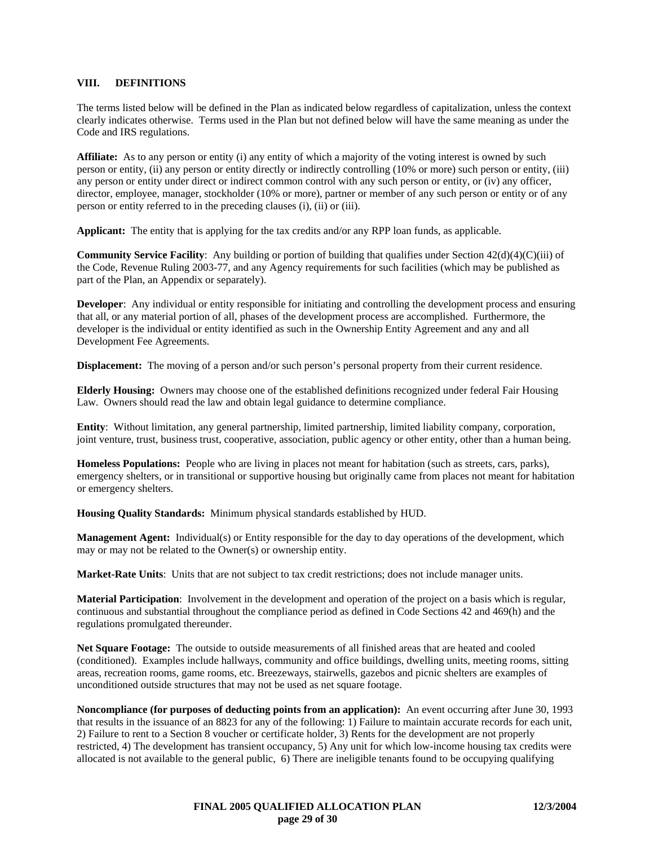### **VIII. DEFINITIONS**

The terms listed below will be defined in the Plan as indicated below regardless of capitalization, unless the context clearly indicates otherwise. Terms used in the Plan but not defined below will have the same meaning as under the Code and IRS regulations.

**Affiliate:** As to any person or entity (i) any entity of which a majority of the voting interest is owned by such person or entity, (ii) any person or entity directly or indirectly controlling (10% or more) such person or entity, (iii) any person or entity under direct or indirect common control with any such person or entity, or (iv) any officer, director, employee, manager, stockholder (10% or more), partner or member of any such person or entity or of any person or entity referred to in the preceding clauses (i), (ii) or (iii).

**Applicant:** The entity that is applying for the tax credits and/or any RPP loan funds, as applicable.

**Community Service Facility**: Any building or portion of building that qualifies under Section 42(d)(4)(C)(iii) of the Code, Revenue Ruling 2003-77, and any Agency requirements for such facilities (which may be published as part of the Plan, an Appendix or separately).

**Developer**: Any individual or entity responsible for initiating and controlling the development process and ensuring that all, or any material portion of all, phases of the development process are accomplished. Furthermore, the developer is the individual or entity identified as such in the Ownership Entity Agreement and any and all Development Fee Agreements.

**Displacement:** The moving of a person and/or such person's personal property from their current residence.

**Elderly Housing:** Owners may choose one of the established definitions recognized under federal Fair Housing Law. Owners should read the law and obtain legal guidance to determine compliance.

**Entity**: Without limitation, any general partnership, limited partnership, limited liability company, corporation, joint venture, trust, business trust, cooperative, association, public agency or other entity, other than a human being.

**Homeless Populations:** People who are living in places not meant for habitation (such as streets, cars, parks), emergency shelters, or in transitional or supportive housing but originally came from places not meant for habitation or emergency shelters.

**Housing Quality Standards:** Minimum physical standards established by HUD.

**Management Agent:** Individual(s) or Entity responsible for the day to day operations of the development, which may or may not be related to the Owner(s) or ownership entity.

**Market-Rate Units**: Units that are not subject to tax credit restrictions; does not include manager units.

**Material Participation**: Involvement in the development and operation of the project on a basis which is regular, continuous and substantial throughout the compliance period as defined in Code Sections 42 and 469(h) and the regulations promulgated thereunder.

**Net Square Footage:** The outside to outside measurements of all finished areas that are heated and cooled (conditioned). Examples include hallways, community and office buildings, dwelling units, meeting rooms, sitting areas, recreation rooms, game rooms, etc. Breezeways, stairwells, gazebos and picnic shelters are examples of unconditioned outside structures that may not be used as net square footage.

**Noncompliance (for purposes of deducting points from an application):** An event occurring after June 30, 1993 that results in the issuance of an 8823 for any of the following: 1) Failure to maintain accurate records for each unit, 2) Failure to rent to a Section 8 voucher or certificate holder, 3) Rents for the development are not properly restricted, 4) The development has transient occupancy, 5) Any unit for which low-income housing tax credits were allocated is not available to the general public, 6) There are ineligible tenants found to be occupying qualifying